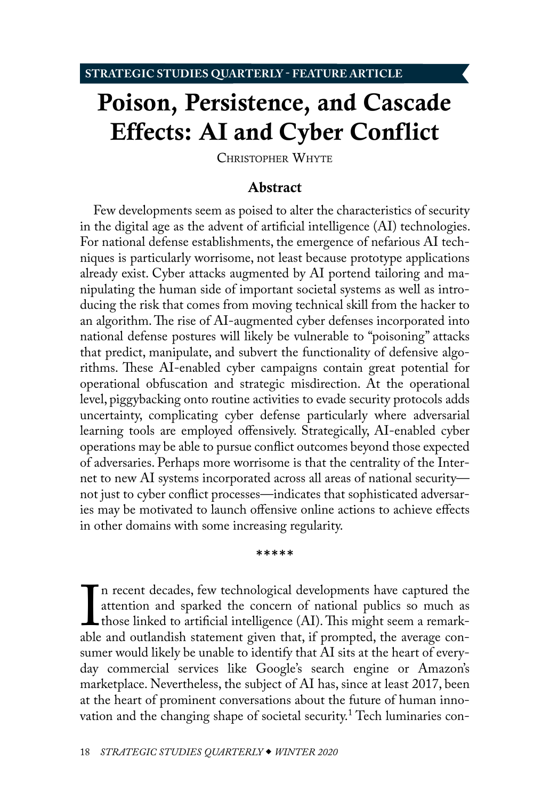# <span id="page-0-1"></span>Poison, Persistence, and Cascade Effects: AI and Cyber Conflict

CHRISTOPHER WHYTE

## <span id="page-0-0"></span>Abstract

Few developments seem as poised to alter the characteristics of security in the digital age as the advent of artificial intelligence (AI) technologies. For national defense establishments, the emergence of nefarious AI techniques is particularly worrisome, not least because prototype applications already exist. Cyber attacks augmented by AI portend tailoring and manipulating the human side of important societal systems as well as introducing the risk that comes from moving technical skill from the hacker to an algorithm. The rise of AI-augmented cyber defenses incorporated into national defense postures will likely be vulnerable to "poisoning" attacks that predict, manipulate, and subvert the functionality of defensive algorithms. These AI-enabled cyber campaigns contain great potential for operational obfuscation and strategic misdirection. At the operational level, piggybacking onto routine activities to evade security protocols adds uncertainty, complicating cyber defense particularly where adversarial learning tools are employed offensively. Strategically, AI-enabled cyber operations may be able to pursue conflict outcomes beyond those expected of adversaries. Perhaps more worrisome is that the centrality of the Internet to new AI systems incorporated across all areas of national security not just to cyber conflict processes—indicates that sophisticated adversaries may be motivated to launch offensive online actions to achieve effects in other domains with some increasing regularity.

\*\*\*\*\*

 $\mathbf{l}$ <br>able n recent decades, few technological developments have captured the attention and sparked the concern of national publics so much as those linked to artificial intelligence (AI). This might seem a remarkable and outlandish statement given that, if prompted, the average consumer would likely be unable to identify that AI sits at the heart of everyday commercial services like Google's search engine or Amazon's marketplace. Nevertheless, the subject of AI has, since at least 2017, been at the heart of prominent conversations about the future of human innovation and the changing shape of societal security.<sup>1</sup> Tech luminaries con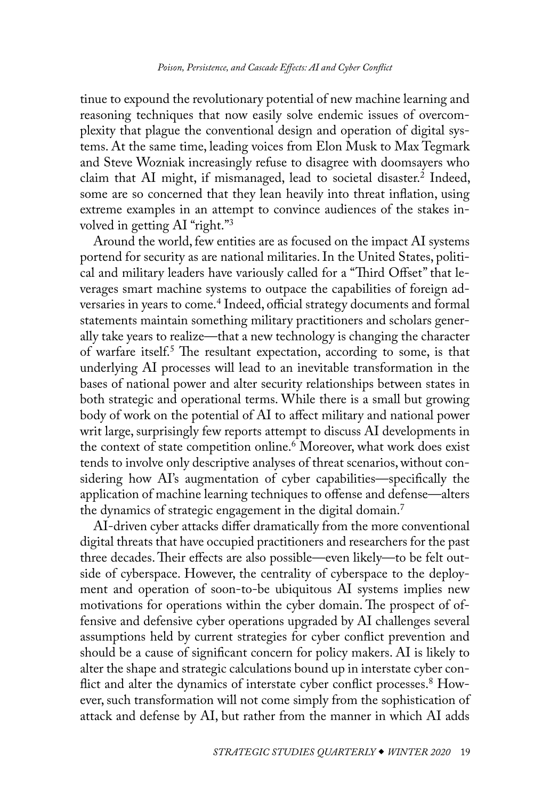<span id="page-1-0"></span>tinue to expound the revolutionary potential of new machine learning and reasoning techniques that now easily solve endemic issues of overcomplexity that plague the conventional design and operation of digital systems. At the same time, leading voices from Elon Musk to Max Tegmark and Steve Wozniak increasingly refuse to disagree with doomsayers who claim that AI might, if mismanaged, lead to societal disaster[.2](#page-23-1) Indeed, some are so concerned that they lean heavily into threat inflation, using extreme examples in an attempt to convince audiences of the stakes involved in getting AI "right.["3](#page-23-1)

Around the world, few entities are as focused on the impact AI systems portend for security as are national militaries. In the United States, political and military leaders have variously called for a "Third Offset" that leverages smart machine systems to outpace the capabilities of foreign adversaries in years to come[.4](#page-23-1) Indeed, official strategy documents and formal statements maintain something military practitioners and scholars generally take years to realize—that a new technology is changing the character of warfare itself.<sup>[5](#page-23-1)</sup> The resultant expectation, according to some, is that underlying AI processes will lead to an inevitable transformation in the bases of national power and alter security relationships between states in both strategic and operational terms. While there is a small but growing body of work on the potential of AI to affect military and national power writ large, surprisingly few reports attempt to discuss AI developments in the context of state competition online.[6](#page-24-0) Moreover, what work does exist tends to involve only descriptive analyses of threat scenarios, without considering how AI's augmentation of cyber capabilities—specifically the application of machine learning techniques to offense and defense—alters the dynamics of strategic engagement in the digital domain.<sup>7</sup>

AI-driven cyber attacks differ dramatically from the more conventional digital threats that have occupied practitioners and researchers for the past three decades. Their effects are also possible—even likely—to be felt outside of cyberspace. However, the centrality of cyberspace to the deployment and operation of soon-to-be ubiquitous AI systems implies new motivations for operations within the cyber domain. The prospect of offensive and defensive cyber operations upgraded by AI challenges several assumptions held by current strategies for cyber conflict prevention and should be a cause of significant concern for policy makers. AI is likely to alter the shape and strategic calculations bound up in interstate cyber con-flict and alter the dynamics of interstate cyber conflict processes.<sup>[8](#page-24-0)</sup> However, such transformation will not come simply from the sophistication of attack and defense by AI, but rather from the manner in which AI adds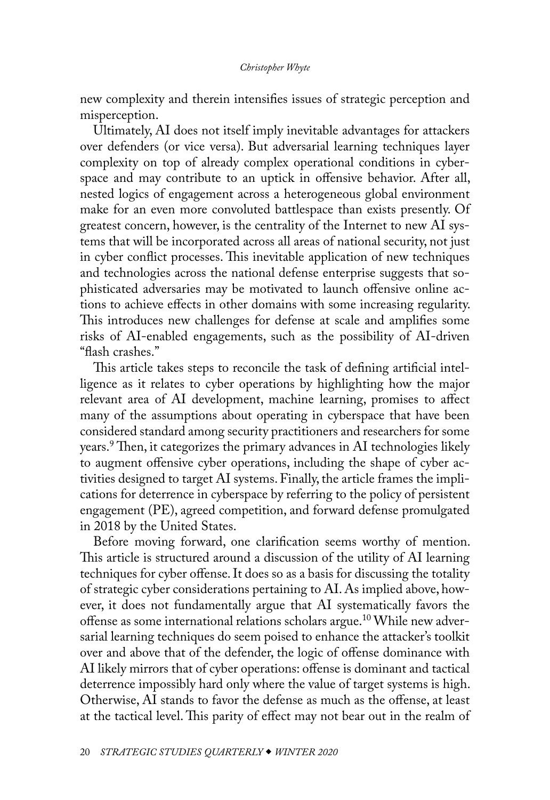<span id="page-2-0"></span>new complexity and therein intensifies issues of strategic perception and misperception.

Ultimately, AI does not itself imply inevitable advantages for attackers over defenders (or vice versa). But adversarial learning techniques layer complexity on top of already complex operational conditions in cyberspace and may contribute to an uptick in offensive behavior. After all, nested logics of engagement across a heterogeneous global environment make for an even more convoluted battlespace than exists presently. Of greatest concern, however, is the centrality of the Internet to new AI systems that will be incorporated across all areas of national security, not just in cyber conflict processes. This inevitable application of new techniques and technologies across the national defense enterprise suggests that sophisticated adversaries may be motivated to launch offensive online actions to achieve effects in other domains with some increasing regularity. This introduces new challenges for defense at scale and amplifies some risks of AI-enabled engagements, such as the possibility of AI-driven "flash crashes."

This article takes steps to reconcile the task of defining artificial intelligence as it relates to cyber operations by highlighting how the major relevant area of AI development, machine learning, promises to affect many of the assumptions about operating in cyberspace that have been considered standard among security practitioners and researchers for some years.[9](#page-24-0) Then, it categorizes the primary advances in AI technologies likely to augment offensive cyber operations, including the shape of cyber activities designed to target AI systems. Finally, the article frames the implications for deterrence in cyberspace by referring to the policy of persistent engagement (PE), agreed competition, and forward defense promulgated in 2018 by the United States.

Before moving forward, one clarification seems worthy of mention. This article is structured around a discussion of the utility of AI learning techniques for cyber offense. It does so as a basis for discussing the totality of strategic cyber considerations pertaining to AI. As implied above, however, it does not fundamentally argue that AI systematically favors the offense as some international relations scholars argue[.10](#page-24-0) While new adversarial learning techniques do seem poised to enhance the attacker's toolkit over and above that of the defender, the logic of offense dominance with AI likely mirrors that of cyber operations: offense is dominant and tactical deterrence impossibly hard only where the value of target systems is high. Otherwise, AI stands to favor the defense as much as the offense, at least at the tactical level. This parity of effect may not bear out in the realm of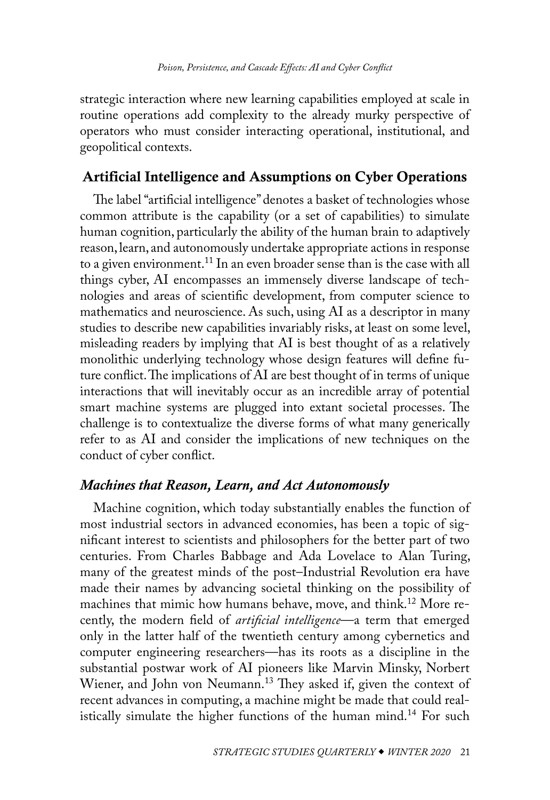<span id="page-3-0"></span>strategic interaction where new learning capabilities employed at scale in routine operations add complexity to the already murky perspective of operators who must consider interacting operational, institutional, and geopolitical contexts.

# Artificial Intelligence and Assumptions on Cyber Operations

The label "artificial intelligence" denotes a basket of technologies whose common attribute is the capability (or a set of capabilities) to simulate human cognition, particularly the ability of the human brain to adaptively reason, learn, and autonomously undertake appropriate actions in response to a given environment.<sup>11</sup> In an even broader sense than is the case with all things cyber, AI encompasses an immensely diverse landscape of technologies and areas of scientific development, from computer science to mathematics and neuroscience. As such, using AI as a descriptor in many studies to describe new capabilities invariably risks, at least on some level, misleading readers by implying that AI is best thought of as a relatively monolithic underlying technology whose design features will define future conflict. The implications of AI are best thought of in terms of unique interactions that will inevitably occur as an incredible array of potential smart machine systems are plugged into extant societal processes. The challenge is to contextualize the diverse forms of what many generically refer to as AI and consider the implications of new techniques on the conduct of cyber conflict.

# *Machines that Reason, Learn, and Act Autonomously*

Machine cognition, which today substantially enables the function of most industrial sectors in advanced economies, has been a topic of significant interest to scientists and philosophers for the better part of two centuries. From Charles Babbage and Ada Lovelace to Alan Turing, many of the greatest minds of the post–Industrial Revolution era have made their names by advancing societal thinking on the possibility of machines that mimic how humans behave, move, and think.<sup>12</sup> More recently, the modern field of *artificial intelligence*—a term that emerged only in the latter half of the twentieth century among cybernetics and computer engineering researchers—has its roots as a discipline in the substantial postwar work of AI pioneers like Marvin Minsky, Norbert Wiener, and John von Neumann.<sup>[13](#page-24-0)</sup> They asked if, given the context of recent advances in computing, a machine might be made that could realistically simulate the higher functions of the human mind.<sup>14</sup> For such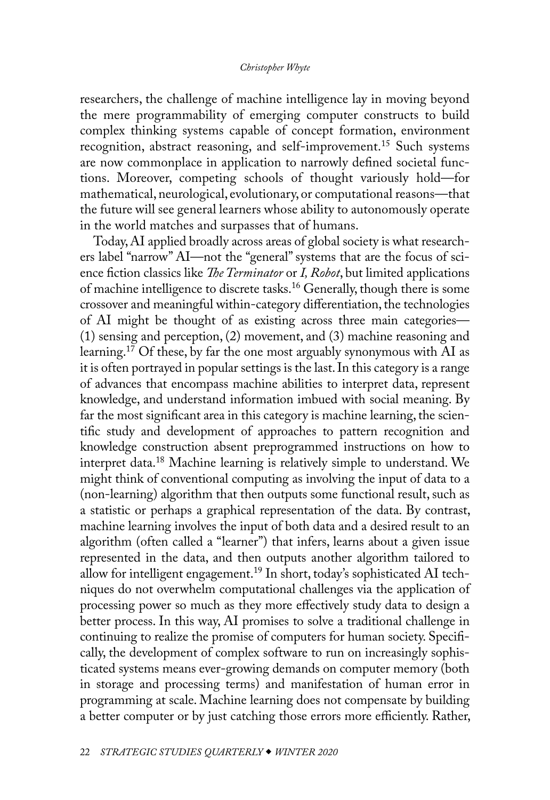<span id="page-4-0"></span>researchers, the challenge of machine intelligence lay in moving beyond the mere programmability of emerging computer constructs to build complex thinking systems capable of concept formation, environment recognition, abstract reasoning, and self-improvement.[15](#page-25-0) Such systems are now commonplace in application to narrowly defined societal functions. Moreover, competing schools of thought variously hold—for mathematical, neurological, evolutionary, or computational reasons—that the future will see general learners whose ability to autonomously operate in the world matches and surpasses that of humans.

Today, AI applied broadly across areas of global society is what researchers label "narrow" AI—not the "general" systems that are the focus of science fiction classics like *The Terminator* or *I, Robot*, but limited applications of machine intelligence to discrete tasks.[16](#page-25-0) Generally, though there is some crossover and meaningful within-category differentiation, the technologies of AI might be thought of as existing across three main categories— (1) sensing and perception, (2) movement, and (3) machine reasoning and learning.<sup>[17](#page-25-0)</sup> Of these, by far the one most arguably synonymous with AI as it is often portrayed in popular settings is the last. In this category is a range of advances that encompass machine abilities to interpret data, represent knowledge, and understand information imbued with social meaning. By far the most significant area in this category is machine learning, the scientific study and development of approaches to pattern recognition and knowledge construction absent preprogrammed instructions on how to interpret data[.18](#page-25-0) Machine learning is relatively simple to understand. We might think of conventional computing as involving the input of data to a (non-learning) algorithm that then outputs some functional result, such as a statistic or perhaps a graphical representation of the data. By contrast, machine learning involves the input of both data and a desired result to an algorithm (often called a "learner") that infers, learns about a given issue represented in the data, and then outputs another algorithm tailored to allow for intelligent engagement[.19](#page-25-0) In short, today's sophisticated AI techniques do not overwhelm computational challenges via the application of processing power so much as they more effectively study data to design a better process. In this way, AI promises to solve a traditional challenge in continuing to realize the promise of computers for human society. Specifically, the development of complex software to run on increasingly sophisticated systems means ever-growing demands on computer memory (both in storage and processing terms) and manifestation of human error in programming at scale. Machine learning does not compensate by building a better computer or by just catching those errors more efficiently. Rather,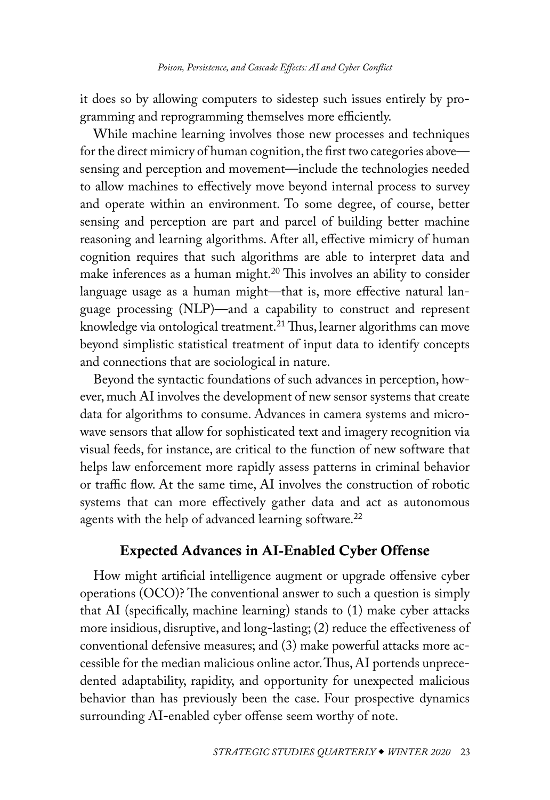<span id="page-5-0"></span>it does so by allowing computers to sidestep such issues entirely by programming and reprogramming themselves more efficiently.

While machine learning involves those new processes and techniques for the direct mimicry of human cognition, the first two categories above sensing and perception and movement—include the technologies needed to allow machines to effectively move beyond internal process to survey and operate within an environment. To some degree, of course, better sensing and perception are part and parcel of building better machine reasoning and learning algorithms. After all, effective mimicry of human cognition requires that such algorithms are able to interpret data and make inferences as a human might.<sup>20</sup> This involves an ability to consider language usage as a human might—that is, more effective natural language processing (NLP)—and a capability to construct and represent knowledge via ontological treatment.<sup>21</sup> Thus, learner algorithms can move beyond simplistic statistical treatment of input data to identify concepts and connections that are sociological in nature.

Beyond the syntactic foundations of such advances in perception, however, much AI involves the development of new sensor systems that create data for algorithms to consume. Advances in camera systems and microwave sensors that allow for sophisticated text and imagery recognition via visual feeds, for instance, are critical to the function of new software that helps law enforcement more rapidly assess patterns in criminal behavior or traffic flow. At the same time, AI involves the construction of robotic systems that can more effectively gather data and act as autonomous agents with the help of advanced learning software.<sup>[22](#page-25-0)</sup>

# Expected Advances in AI-Enabled Cyber Offense

How might artificial intelligence augment or upgrade offensive cyber operations (OCO)? The conventional answer to such a question is simply that AI (specifically, machine learning) stands to (1) make cyber attacks more insidious, disruptive, and long-lasting; (2) reduce the effectiveness of conventional defensive measures; and (3) make powerful attacks more accessible for the median malicious online actor. Thus, AI portends unprecedented adaptability, rapidity, and opportunity for unexpected malicious behavior than has previously been the case. Four prospective dynamics surrounding AI-enabled cyber offense seem worthy of note.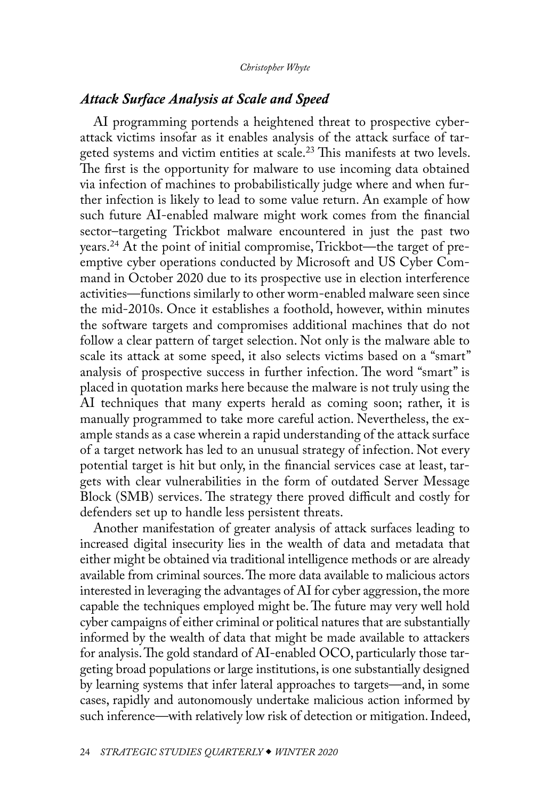## <span id="page-6-0"></span>*Attack Surface Analysis at Scale and Speed*

AI programming portends a heightened threat to prospective cyberattack victims insofar as it enables analysis of the attack surface of tar-geted systems and victim entities at scale.<sup>[23](#page-25-0)</sup> This manifests at two levels. The first is the opportunity for malware to use incoming data obtained via infection of machines to probabilistically judge where and when further infection is likely to lead to some value return. An example of how such future AI-enabled malware might work comes from the financial sector–targeting Trickbot malware encountered in just the past two years.[24](#page-25-0) At the point of initial compromise, Trickbot—the target of preemptive cyber operations conducted by Microsoft and US Cyber Command in October 2020 due to its prospective use in election interference activities—functions similarly to other worm-enabled malware seen since the mid-2010s. Once it establishes a foothold, however, within minutes the software targets and compromises additional machines that do not follow a clear pattern of target selection. Not only is the malware able to scale its attack at some speed, it also selects victims based on a "smart" analysis of prospective success in further infection. The word "smart" is placed in quotation marks here because the malware is not truly using the AI techniques that many experts herald as coming soon; rather, it is manually programmed to take more careful action. Nevertheless, the example stands as a case wherein a rapid understanding of the attack surface of a target network has led to an unusual strategy of infection. Not every potential target is hit but only, in the financial services case at least, targets with clear vulnerabilities in the form of outdated Server Message Block (SMB) services. The strategy there proved difficult and costly for defenders set up to handle less persistent threats.

Another manifestation of greater analysis of attack surfaces leading to increased digital insecurity lies in the wealth of data and metadata that either might be obtained via traditional intelligence methods or are already available from criminal sources. The more data available to malicious actors interested in leveraging the advantages of AI for cyber aggression, the more capable the techniques employed might be. The future may very well hold cyber campaigns of either criminal or political natures that are substantially informed by the wealth of data that might be made available to attackers for analysis. The gold standard of AI-enabled OCO, particularly those targeting broad populations or large institutions, is one substantially designed by learning systems that infer lateral approaches to targets—and, in some cases, rapidly and autonomously undertake malicious action informed by such inference—with relatively low risk of detection or mitigation. Indeed,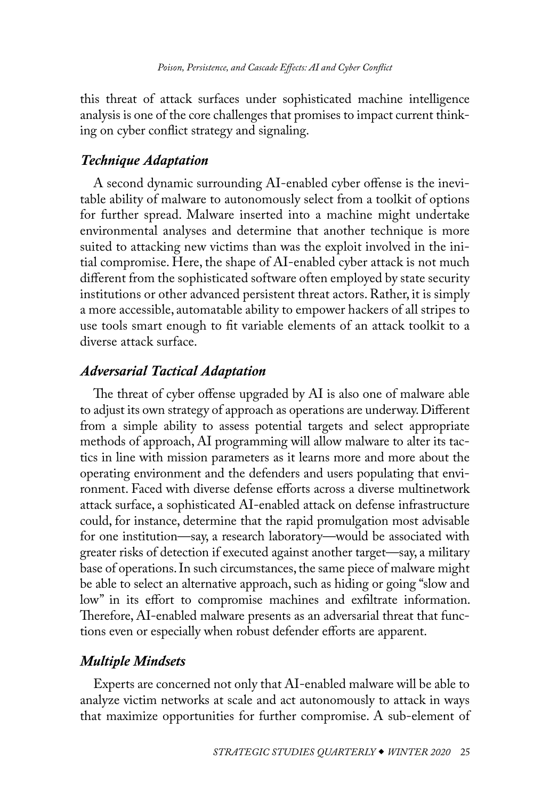this threat of attack surfaces under sophisticated machine intelligence analysis is one of the core challenges that promises to impact current thinking on cyber conflict strategy and signaling.

## *Technique Adaptation*

A second dynamic surrounding AI-enabled cyber offense is the inevitable ability of malware to autonomously select from a toolkit of options for further spread. Malware inserted into a machine might undertake environmental analyses and determine that another technique is more suited to attacking new victims than was the exploit involved in the initial compromise. Here, the shape of AI-enabled cyber attack is not much different from the sophisticated software often employed by state security institutions or other advanced persistent threat actors. Rather, it is simply a more accessible, automatable ability to empower hackers of all stripes to use tools smart enough to fit variable elements of an attack toolkit to a diverse attack surface.

## *Adversarial Tactical Adaptation*

The threat of cyber offense upgraded by AI is also one of malware able to adjust its own strategy of approach as operations are underway. Different from a simple ability to assess potential targets and select appropriate methods of approach, AI programming will allow malware to alter its tactics in line with mission parameters as it learns more and more about the operating environment and the defenders and users populating that environment. Faced with diverse defense efforts across a diverse multinetwork attack surface, a sophisticated AI-enabled attack on defense infrastructure could, for instance, determine that the rapid promulgation most advisable for one institution—say, a research laboratory—would be associated with greater risks of detection if executed against another target—say, a military base of operations. In such circumstances, the same piece of malware might be able to select an alternative approach, such as hiding or going "slow and low" in its effort to compromise machines and exfiltrate information. Therefore, AI-enabled malware presents as an adversarial threat that functions even or especially when robust defender efforts are apparent.

## *Multiple Mindsets*

Experts are concerned not only that AI-enabled malware will be able to analyze victim networks at scale and act autonomously to attack in ways that maximize opportunities for further compromise. A sub-element of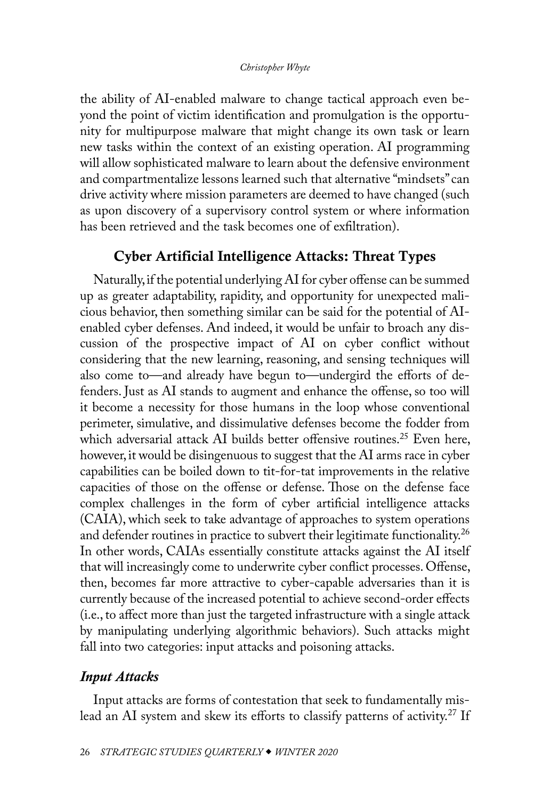<span id="page-8-0"></span>the ability of AI-enabled malware to change tactical approach even beyond the point of victim identification and promulgation is the opportunity for multipurpose malware that might change its own task or learn new tasks within the context of an existing operation. AI programming will allow sophisticated malware to learn about the defensive environment and compartmentalize lessons learned such that alternative "mindsets" can drive activity where mission parameters are deemed to have changed (such as upon discovery of a supervisory control system or where information has been retrieved and the task becomes one of exfiltration).

# Cyber Artificial Intelligence Attacks: Threat Types

Naturally, if the potential underlying AI for cyber offense can be summed up as greater adaptability, rapidity, and opportunity for unexpected malicious behavior, then something similar can be said for the potential of AIenabled cyber defenses. And indeed, it would be unfair to broach any discussion of the prospective impact of AI on cyber conflict without considering that the new learning, reasoning, and sensing techniques will also come to—and already have begun to—undergird the efforts of defenders. Just as AI stands to augment and enhance the offense, so too will it become a necessity for those humans in the loop whose conventional perimeter, simulative, and dissimulative defenses become the fodder from which adversarial attack AI builds better offensive routines.<sup>25</sup> Even here, however, it would be disingenuous to suggest that the AI arms race in cyber capabilities can be boiled down to tit-for-tat improvements in the relative capacities of those on the offense or defense. Those on the defense face complex challenges in the form of cyber artificial intelligence attacks (CAIA), which seek to take advantage of approaches to system operations and defender routines in practice to subvert their legitimate functionality.<sup>26</sup> In other words, CAIAs essentially constitute attacks against the AI itself that will increasingly come to underwrite cyber conflict processes. Offense, then, becomes far more attractive to cyber-capable adversaries than it is currently because of the increased potential to achieve second-order effects (i.e., to affect more than just the targeted infrastructure with a single attack by manipulating underlying algorithmic behaviors). Such attacks might fall into two categories: input attacks and poisoning attacks.

## *Input Attacks*

Input attacks are forms of contestation that seek to fundamentally mis-lead an AI system and skew its efforts to classify patterns of activity.<sup>[27](#page-25-0)</sup> If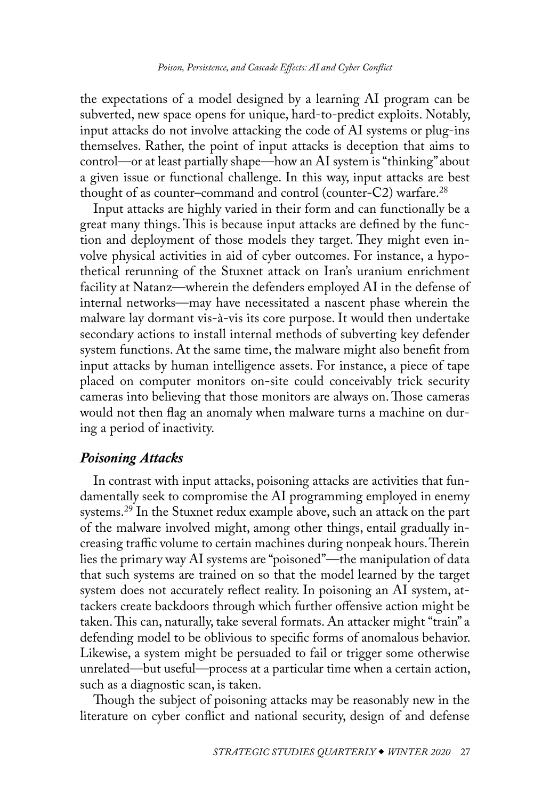<span id="page-9-0"></span>the expectations of a model designed by a learning AI program can be subverted, new space opens for unique, hard-to-predict exploits. Notably, input attacks do not involve attacking the code of AI systems or plug-ins themselves. Rather, the point of input attacks is deception that aims to control—or at least partially shape—how an AI system is "thinking" about a given issue or functional challenge. In this way, input attacks are best thought of as counter–command and control (counter-C2) warfare.[28](#page-25-0)

Input attacks are highly varied in their form and can functionally be a great many things. This is because input attacks are defined by the function and deployment of those models they target. They might even involve physical activities in aid of cyber outcomes. For instance, a hypothetical rerunning of the Stuxnet attack on Iran's uranium enrichment facility at Natanz—wherein the defenders employed AI in the defense of internal networks—may have necessitated a nascent phase wherein the malware lay dormant vis-à-vis its core purpose. It would then undertake secondary actions to install internal methods of subverting key defender system functions. At the same time, the malware might also benefit from input attacks by human intelligence assets. For instance, a piece of tape placed on computer monitors on-site could conceivably trick security cameras into believing that those monitors are always on. Those cameras would not then flag an anomaly when malware turns a machine on during a period of inactivity.

# *Poisoning Attacks*

In contrast with input attacks, poisoning attacks are activities that fundamentally seek to compromise the AI programming employed in enemy systems.<sup>29</sup> In the Stuxnet redux example above, such an attack on the part of the malware involved might, among other things, entail gradually increasing traffic volume to certain machines during nonpeak hours. Therein lies the primary way AI systems are "poisoned"—the manipulation of data that such systems are trained on so that the model learned by the target system does not accurately reflect reality. In poisoning an AI system, attackers create backdoors through which further offensive action might be taken. This can, naturally, take several formats. An attacker might "train" a defending model to be oblivious to specific forms of anomalous behavior. Likewise, a system might be persuaded to fail or trigger some otherwise unrelated—but useful—process at a particular time when a certain action, such as a diagnostic scan, is taken.

Though the subject of poisoning attacks may be reasonably new in the literature on cyber conflict and national security, design of and defense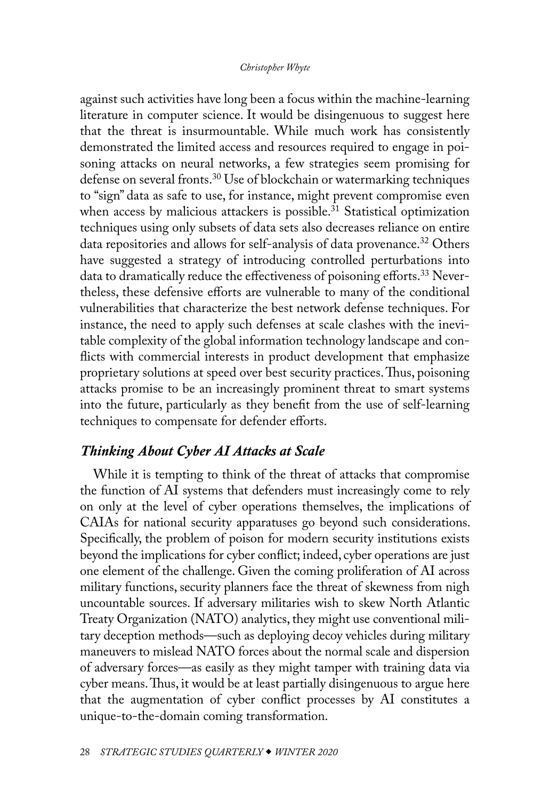<span id="page-10-0"></span>against such activities have long been a focus within the machine-learning literature in computer science. It would be disingenuous to suggest here that the threat is insurmountable. While much work has consistently demonstrated the limited access and resources required to engage in poisoning attacks on neural networks, a few strategies seem promising for defense on several fronts.<sup>[30](#page-26-0)</sup> Use of blockchain or watermarking techniques to "sign" data as safe to use, for instance, might prevent compromise even when access by malicious attackers is possible.<sup>31</sup> Statistical optimization techniques using only subsets of data sets also decreases reliance on entire data repositories and allows for self-analysis of data provenance.<sup>[32](#page-26-0)</sup> Others have suggested a strategy of introducing controlled perturbations into data to dramatically reduce the effectiveness of poisoning efforts.<sup>33</sup> Nevertheless, these defensive efforts are vulnerable to many of the conditional vulnerabilities that characterize the best network defense techniques. For instance, the need to apply such defenses at scale clashes with the inevitable complexity of the global information technology landscape and conflicts with commercial interests in product development that emphasize proprietary solutions at speed over best security practices. Thus, poisoning attacks promise to be an increasingly prominent threat to smart systems into the future, particularly as they benefit from the use of self-learning techniques to compensate for defender efforts.

# *Thinking About Cyber AI Attacks at Scale*

While it is tempting to think of the threat of attacks that compromise the function of AI systems that defenders must increasingly come to rely on only at the level of cyber operations themselves, the implications of CAIAs for national security apparatuses go beyond such considerations. Specifically, the problem of poison for modern security institutions exists beyond the implications for cyber conflict; indeed, cyber operations are just one element of the challenge. Given the coming proliferation of AI across military functions, security planners face the threat of skewness from nigh uncountable sources. If adversary militaries wish to skew North Atlantic Treaty Organization (NATO) analytics, they might use conventional military deception methods—such as deploying decoy vehicles during military maneuvers to mislead NATO forces about the normal scale and dispersion of adversary forces—as easily as they might tamper with training data via cyber means. Thus, it would be at least partially disingenuous to argue here that the augmentation of cyber conflict processes by AI constitutes a unique-to-the-domain coming transformation.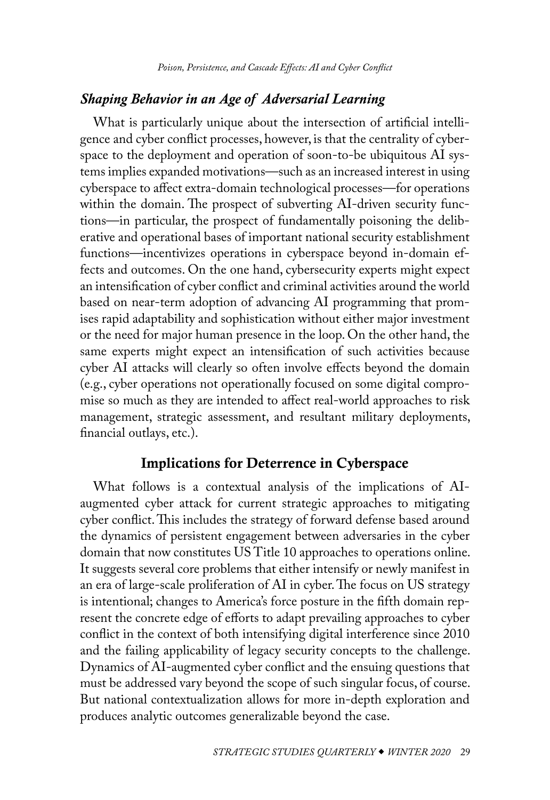# *Shaping Behavior in an Age of Adversarial Learning*

What is particularly unique about the intersection of artificial intelligence and cyber conflict processes, however, is that the centrality of cyberspace to the deployment and operation of soon-to-be ubiquitous AI systems implies expanded motivations—such as an increased interest in using cyberspace to affect extra-domain technological processes—for operations within the domain. The prospect of subverting AI-driven security functions—in particular, the prospect of fundamentally poisoning the deliberative and operational bases of important national security establishment functions—incentivizes operations in cyberspace beyond in-domain effects and outcomes. On the one hand, cybersecurity experts might expect an intensification of cyber conflict and criminal activities around the world based on near-term adoption of advancing AI programming that promises rapid adaptability and sophistication without either major investment or the need for major human presence in the loop. On the other hand, the same experts might expect an intensification of such activities because cyber AI attacks will clearly so often involve effects beyond the domain (e.g., cyber operations not operationally focused on some digital compromise so much as they are intended to affect real-world approaches to risk management, strategic assessment, and resultant military deployments, financial outlays, etc.).

# Implications for Deterrence in Cyberspace

What follows is a contextual analysis of the implications of AIaugmented cyber attack for current strategic approaches to mitigating cyber conflict. This includes the strategy of forward defense based around the dynamics of persistent engagement between adversaries in the cyber domain that now constitutes US Title 10 approaches to operations online. It suggests several core problems that either intensify or newly manifest in an era of large-scale proliferation of AI in cyber. The focus on US strategy is intentional; changes to America's force posture in the fifth domain represent the concrete edge of efforts to adapt prevailing approaches to cyber conflict in the context of both intensifying digital interference since 2010 and the failing applicability of legacy security concepts to the challenge. Dynamics of AI-augmented cyber conflict and the ensuing questions that must be addressed vary beyond the scope of such singular focus, of course. But national contextualization allows for more in-depth exploration and produces analytic outcomes generalizable beyond the case.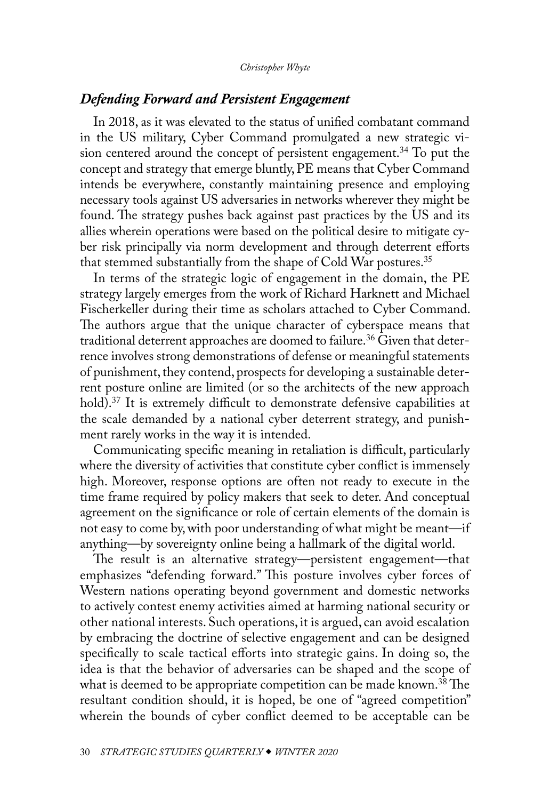## <span id="page-12-0"></span>*Defending Forward and Persistent Engagement*

In 2018, as it was elevated to the status of unified combatant command in the US military, Cyber Command promulgated a new strategic vision centered around the concept of persistent engagement.<sup>34</sup> To put the concept and strategy that emerge bluntly, PE means that Cyber Command intends be everywhere, constantly maintaining presence and employing necessary tools against US adversaries in networks wherever they might be found. The strategy pushes back against past practices by the US and its allies wherein operations were based on the political desire to mitigate cyber risk principally via norm development and through deterrent efforts that stemmed substantially from the shape of Cold War postures.<sup>[35](#page-26-0)</sup>

In terms of the strategic logic of engagement in the domain, the PE strategy largely emerges from the work of Richard Harknett and Michael Fischerkeller during their time as scholars attached to Cyber Command. The authors argue that the unique character of cyberspace means that traditional deterrent approaches are doomed to failure.<sup>36</sup> Given that deterrence involves strong demonstrations of defense or meaningful statements of punishment, they contend, prospects for developing a sustainable deterrent posture online are limited (or so the architects of the new approach hold).<sup>37</sup> It is extremely difficult to demonstrate defensive capabilities at the scale demanded by a national cyber deterrent strategy, and punishment rarely works in the way it is intended.

Communicating specific meaning in retaliation is difficult, particularly where the diversity of activities that constitute cyber conflict is immensely high. Moreover, response options are often not ready to execute in the time frame required by policy makers that seek to deter. And conceptual agreement on the significance or role of certain elements of the domain is not easy to come by, with poor understanding of what might be meant—if anything—by sovereignty online being a hallmark of the digital world.

The result is an alternative strategy—persistent engagement—that emphasizes "defending forward." This posture involves cyber forces of Western nations operating beyond government and domestic networks to actively contest enemy activities aimed at harming national security or other national interests. Such operations, it is argued, can avoid escalation by embracing the doctrine of selective engagement and can be designed specifically to scale tactical efforts into strategic gains. In doing so, the idea is that the behavior of adversaries can be shaped and the scope of what is deemed to be appropriate competition can be made known.<sup>38</sup> The resultant condition should, it is hoped, be one of "agreed competition" wherein the bounds of cyber conflict deemed to be acceptable can be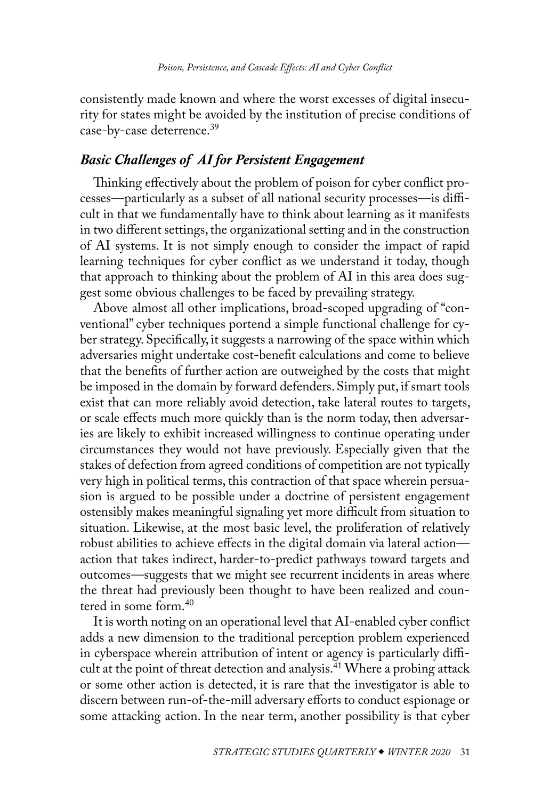<span id="page-13-0"></span>consistently made known and where the worst excesses of digital insecurity for states might be avoided by the institution of precise conditions of case-by-case deterrence.<sup>[39](#page-26-0)</sup>

# *Basic Challenges of AI for Persistent Engagement*

Thinking effectively about the problem of poison for cyber conflict processes—particularly as a subset of all national security processes—is difficult in that we fundamentally have to think about learning as it manifests in two different settings, the organizational setting and in the construction of AI systems. It is not simply enough to consider the impact of rapid learning techniques for cyber conflict as we understand it today, though that approach to thinking about the problem of AI in this area does suggest some obvious challenges to be faced by prevailing strategy.

Above almost all other implications, broad-scoped upgrading of "conventional" cyber techniques portend a simple functional challenge for cyber strategy. Specifically, it suggests a narrowing of the space within which adversaries might undertake cost-benefit calculations and come to believe that the benefits of further action are outweighed by the costs that might be imposed in the domain by forward defenders. Simply put, if smart tools exist that can more reliably avoid detection, take lateral routes to targets, or scale effects much more quickly than is the norm today, then adversaries are likely to exhibit increased willingness to continue operating under circumstances they would not have previously. Especially given that the stakes of defection from agreed conditions of competition are not typically very high in political terms, this contraction of that space wherein persuasion is argued to be possible under a doctrine of persistent engagement ostensibly makes meaningful signaling yet more difficult from situation to situation. Likewise, at the most basic level, the proliferation of relatively robust abilities to achieve effects in the digital domain via lateral action action that takes indirect, harder-to-predict pathways toward targets and outcomes—suggests that we might see recurrent incidents in areas where the threat had previously been thought to have been realized and countered in some form.[40](#page-26-0)

It is worth noting on an operational level that AI-enabled cyber conflict adds a new dimension to the traditional perception problem experienced in cyberspace wherein attribution of intent or agency is particularly difficult at the point of threat detection and analysis.<sup>41</sup> Where a probing attack or some other action is detected, it is rare that the investigator is able to discern between run-of-the-mill adversary efforts to conduct espionage or some attacking action. In the near term, another possibility is that cyber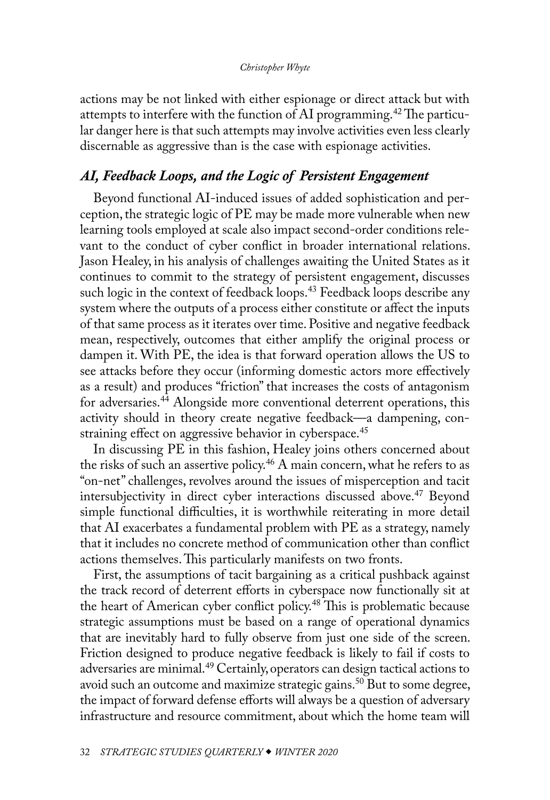<span id="page-14-0"></span>actions may be not linked with either espionage or direct attack but with attempts to interfere with the function of AI programming.<sup>42</sup> The particular danger here is that such attempts may involve activities even less clearly discernable as aggressive than is the case with espionage activities.

## *AI, Feedback Loops, and the Logic of Persistent Engagement*

Beyond functional AI-induced issues of added sophistication and perception, the strategic logic of PE may be made more vulnerable when new learning tools employed at scale also impact second-order conditions relevant to the conduct of cyber conflict in broader international relations. Jason Healey, in his analysis of challenges awaiting the United States as it continues to commit to the strategy of persistent engagement, discusses such logic in the context of feedback loops.<sup>43</sup> Feedback loops describe any system where the outputs of a process either constitute or affect the inputs of that same process as it iterates over time. Positive and negative feedback mean, respectively, outcomes that either amplify the original process or dampen it. With PE, the idea is that forward operation allows the US to see attacks before they occur (informing domestic actors more effectively as a result) and produces "friction" that increases the costs of antagonism for adversaries[.44](#page-27-0) Alongside more conventional deterrent operations, this activity should in theory create negative feedback—a dampening, con-straining effect on aggressive behavior in cyberspace.<sup>[45](#page-27-0)</sup>

In discussing PE in this fashion, Healey joins others concerned about the risks of such an assertive policy.<sup>[46](#page-27-0)</sup> A main concern, what he refers to as "on-net" challenges, revolves around the issues of misperception and tacit intersubjectivity in direct cyber interactions discussed above.<sup>47</sup> Beyond simple functional difficulties, it is worthwhile reiterating in more detail that AI exacerbates a fundamental problem with PE as a strategy, namely that it includes no concrete method of communication other than conflict actions themselves. This particularly manifests on two fronts.

First, the assumptions of tacit bargaining as a critical pushback against the track record of deterrent efforts in cyberspace now functionally sit at the heart of American cyber conflict policy.<sup>48</sup> This is problematic because strategic assumptions must be based on a range of operational dynamics that are inevitably hard to fully observe from just one side of the screen. Friction designed to produce negative feedback is likely to fail if costs to adversaries are minimal.[49](#page-27-0) Certainly, operators can design tactical actions to avoid such an outcome and maximize strategic gains.<sup>50</sup> But to some degree, the impact of forward defense efforts will always be a question of adversary infrastructure and resource commitment, about which the home team will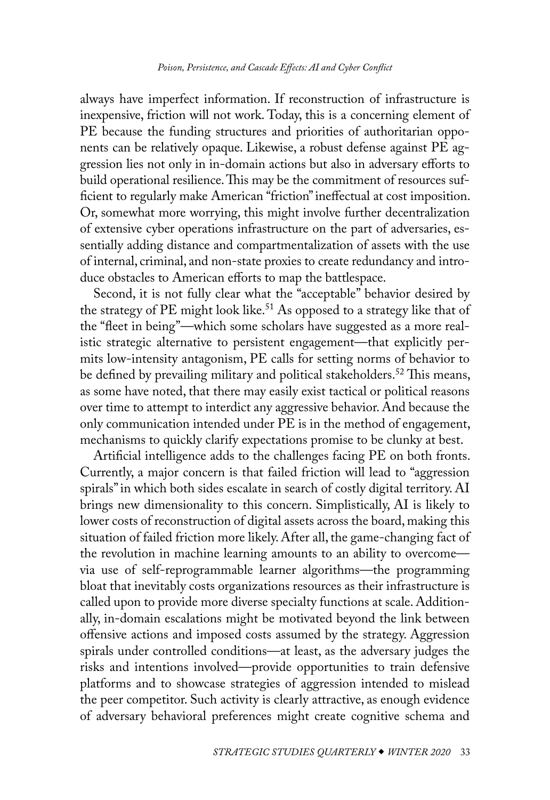<span id="page-15-0"></span>always have imperfect information. If reconstruction of infrastructure is inexpensive, friction will not work. Today, this is a concerning element of PE because the funding structures and priorities of authoritarian opponents can be relatively opaque. Likewise, a robust defense against PE aggression lies not only in in-domain actions but also in adversary efforts to build operational resilience. This may be the commitment of resources sufficient to regularly make American "friction" ineffectual at cost imposition. Or, somewhat more worrying, this might involve further decentralization of extensive cyber operations infrastructure on the part of adversaries, essentially adding distance and compartmentalization of assets with the use of internal, criminal, and non-state proxies to create redundancy and introduce obstacles to American efforts to map the battlespace.

Second, it is not fully clear what the "acceptable" behavior desired by the strategy of PE might look like.<sup>51</sup> As opposed to a strategy like that of the "fleet in being"—which some scholars have suggested as a more realistic strategic alternative to persistent engagement—that explicitly permits low-intensity antagonism, PE calls for setting norms of behavior to be defined by prevailing military and political stakeholders.<sup>52</sup> This means, as some have noted, that there may easily exist tactical or political reasons over time to attempt to interdict any aggressive behavior. And because the only communication intended under PE is in the method of engagement, mechanisms to quickly clarify expectations promise to be clunky at best.

Artificial intelligence adds to the challenges facing PE on both fronts. Currently, a major concern is that failed friction will lead to "aggression spirals" in which both sides escalate in search of costly digital territory. AI brings new dimensionality to this concern. Simplistically, AI is likely to lower costs of reconstruction of digital assets across the board, making this situation of failed friction more likely. After all, the game-changing fact of the revolution in machine learning amounts to an ability to overcome via use of self-reprogrammable learner algorithms—the programming bloat that inevitably costs organizations resources as their infrastructure is called upon to provide more diverse specialty functions at scale. Additionally, in-domain escalations might be motivated beyond the link between offensive actions and imposed costs assumed by the strategy. Aggression spirals under controlled conditions—at least, as the adversary judges the risks and intentions involved—provide opportunities to train defensive platforms and to showcase strategies of aggression intended to mislead the peer competitor. Such activity is clearly attractive, as enough evidence of adversary behavioral preferences might create cognitive schema and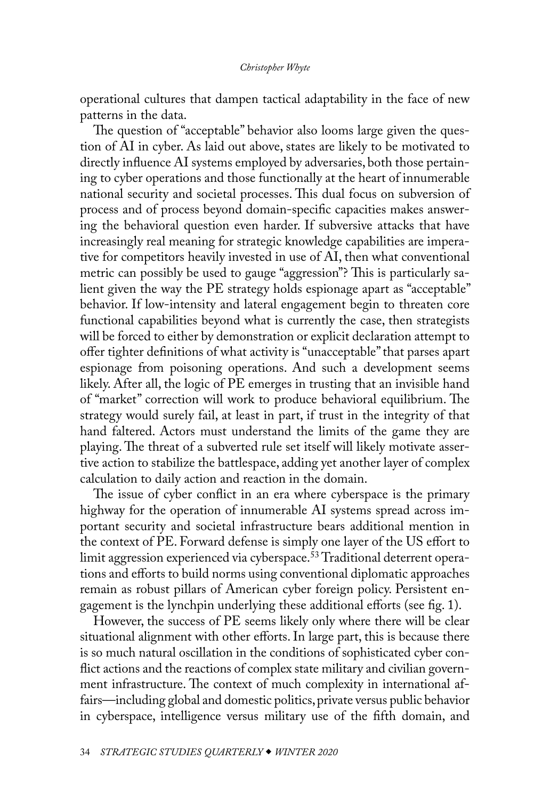<span id="page-16-0"></span>operational cultures that dampen tactical adaptability in the face of new patterns in the data.

The question of "acceptable" behavior also looms large given the question of AI in cyber. As laid out above, states are likely to be motivated to directly influence AI systems employed by adversaries, both those pertaining to cyber operations and those functionally at the heart of innumerable national security and societal processes. This dual focus on subversion of process and of process beyond domain-specific capacities makes answering the behavioral question even harder. If subversive attacks that have increasingly real meaning for strategic knowledge capabilities are imperative for competitors heavily invested in use of AI, then what conventional metric can possibly be used to gauge "aggression"? This is particularly salient given the way the PE strategy holds espionage apart as "acceptable" behavior. If low-intensity and lateral engagement begin to threaten core functional capabilities beyond what is currently the case, then strategists will be forced to either by demonstration or explicit declaration attempt to offer tighter definitions of what activity is "unacceptable" that parses apart espionage from poisoning operations. And such a development seems likely. After all, the logic of PE emerges in trusting that an invisible hand of "market" correction will work to produce behavioral equilibrium. The strategy would surely fail, at least in part, if trust in the integrity of that hand faltered. Actors must understand the limits of the game they are playing. The threat of a subverted rule set itself will likely motivate assertive action to stabilize the battlespace, adding yet another layer of complex calculation to daily action and reaction in the domain.

The issue of cyber conflict in an era where cyberspace is the primary highway for the operation of innumerable AI systems spread across important security and societal infrastructure bears additional mention in the context of PE. Forward defense is simply one layer of the US effort to limit aggression experienced via cyberspace.<sup>53</sup> Traditional deterrent operations and efforts to build norms using conventional diplomatic approaches remain as robust pillars of American cyber foreign policy. Persistent engagement is the lynchpin underlying these additional efforts (see fig. 1).

However, the success of PE seems likely only where there will be clear situational alignment with other efforts. In large part, this is because there is so much natural oscillation in the conditions of sophisticated cyber conflict actions and the reactions of complex state military and civilian government infrastructure. The context of much complexity in international affairs—including global and domestic politics, private versus public behavior in cyberspace, intelligence versus military use of the fifth domain, and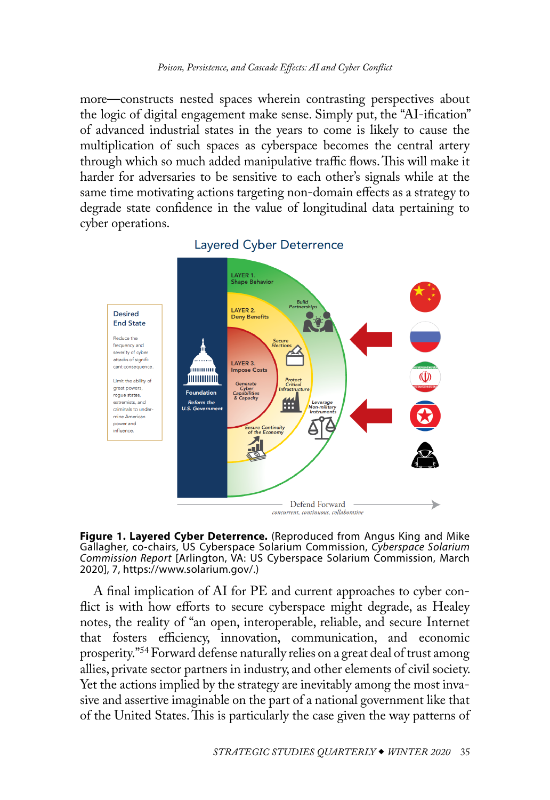<span id="page-17-0"></span>more—constructs nested spaces wherein contrasting perspectives about the logic of digital engagement make sense. Simply put, the "AI-ification" of advanced industrial states in the years to come is likely to cause the multiplication of such spaces as cyberspace becomes the central artery through which so much added manipulative traffic flows. This will make it harder for adversaries to be sensitive to each other's signals while at the same time motivating actions targeting non-domain effects as a strategy to degrade state confidence in the value of longitudinal data pertaining to cyber operations.



## **Layered Cyber Deterrence**



A final implication of AI for PE and current approaches to cyber conflict is with how efforts to secure cyberspace might degrade, as Healey notes, the reality of "an open, interoperable, reliable, and secure Internet that fosters efficiency, innovation, communication, and economic prosperity.["54](#page-27-0) Forward defense naturally relies on a great deal of trust among allies, private sector partners in industry, and other elements of civil society. Yet the actions implied by the strategy are inevitably among the most invasive and assertive imaginable on the part of a national government like that of the United States. This is particularly the case given the way patterns of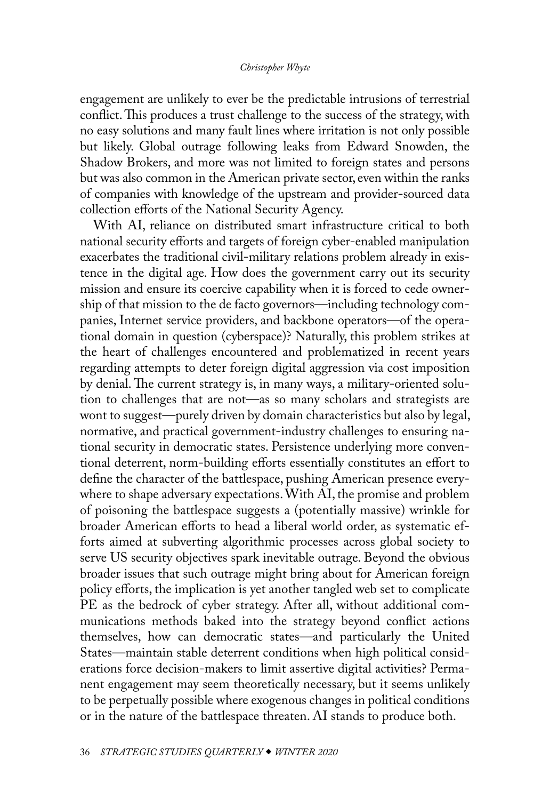engagement are unlikely to ever be the predictable intrusions of terrestrial conflict. This produces a trust challenge to the success of the strategy, with no easy solutions and many fault lines where irritation is not only possible but likely. Global outrage following leaks from Edward Snowden, the Shadow Brokers, and more was not limited to foreign states and persons but was also common in the American private sector, even within the ranks of companies with knowledge of the upstream and provider-sourced data collection efforts of the National Security Agency.

With AI, reliance on distributed smart infrastructure critical to both national security efforts and targets of foreign cyber-enabled manipulation exacerbates the traditional civil-military relations problem already in existence in the digital age. How does the government carry out its security mission and ensure its coercive capability when it is forced to cede ownership of that mission to the de facto governors—including technology companies, Internet service providers, and backbone operators—of the operational domain in question (cyberspace)? Naturally, this problem strikes at the heart of challenges encountered and problematized in recent years regarding attempts to deter foreign digital aggression via cost imposition by denial. The current strategy is, in many ways, a military-oriented solution to challenges that are not—as so many scholars and strategists are wont to suggest—purely driven by domain characteristics but also by legal, normative, and practical government-industry challenges to ensuring national security in democratic states. Persistence underlying more conventional deterrent, norm-building efforts essentially constitutes an effort to define the character of the battlespace, pushing American presence everywhere to shape adversary expectations. With AI, the promise and problem of poisoning the battlespace suggests a (potentially massive) wrinkle for broader American efforts to head a liberal world order, as systematic efforts aimed at subverting algorithmic processes across global society to serve US security objectives spark inevitable outrage. Beyond the obvious broader issues that such outrage might bring about for American foreign policy efforts, the implication is yet another tangled web set to complicate PE as the bedrock of cyber strategy. After all, without additional communications methods baked into the strategy beyond conflict actions themselves, how can democratic states—and particularly the United States—maintain stable deterrent conditions when high political considerations force decision-makers to limit assertive digital activities? Permanent engagement may seem theoretically necessary, but it seems unlikely to be perpetually possible where exogenous changes in political conditions or in the nature of the battlespace threaten. AI stands to produce both.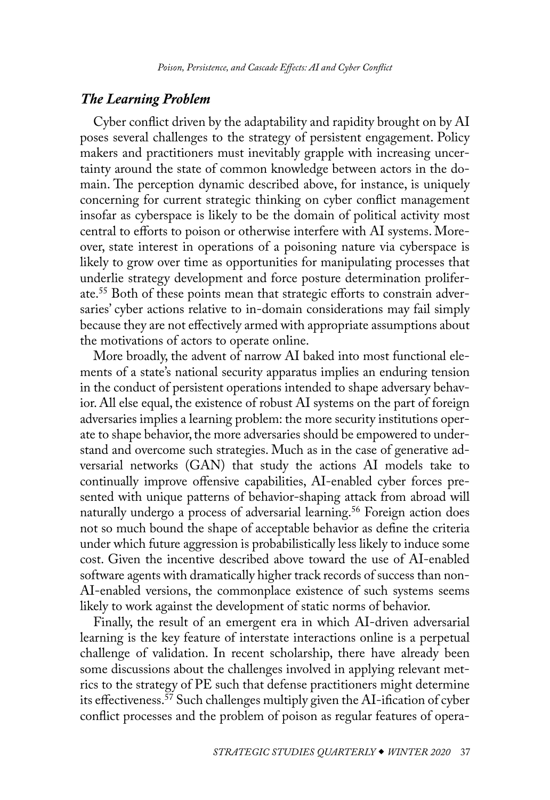## <span id="page-19-0"></span>*The Learning Problem*

Cyber conflict driven by the adaptability and rapidity brought on by AI poses several challenges to the strategy of persistent engagement. Policy makers and practitioners must inevitably grapple with increasing uncertainty around the state of common knowledge between actors in the domain. The perception dynamic described above, for instance, is uniquely concerning for current strategic thinking on cyber conflict management insofar as cyberspace is likely to be the domain of political activity most central to efforts to poison or otherwise interfere with AI systems. Moreover, state interest in operations of a poisoning nature via cyberspace is likely to grow over time as opportunities for manipulating processes that underlie strategy development and force posture determination proliferate[.55](#page-27-0) Both of these points mean that strategic efforts to constrain adversaries' cyber actions relative to in-domain considerations may fail simply because they are not effectively armed with appropriate assumptions about the motivations of actors to operate online.

More broadly, the advent of narrow AI baked into most functional elements of a state's national security apparatus implies an enduring tension in the conduct of persistent operations intended to shape adversary behavior. All else equal, the existence of robust AI systems on the part of foreign adversaries implies a learning problem: the more security institutions operate to shape behavior, the more adversaries should be empowered to understand and overcome such strategies. Much as in the case of generative adversarial networks (GAN) that study the actions AI models take to continually improve offensive capabilities, AI-enabled cyber forces presented with unique patterns of behavior-shaping attack from abroad will naturally undergo a process of adversarial learning.<sup>[56](#page-27-0)</sup> Foreign action does not so much bound the shape of acceptable behavior as define the criteria under which future aggression is probabilistically less likely to induce some cost. Given the incentive described above toward the use of AI-enabled software agents with dramatically higher track records of success than non-AI-enabled versions, the commonplace existence of such systems seems likely to work against the development of static norms of behavior.

Finally, the result of an emergent era in which AI-driven adversarial learning is the key feature of interstate interactions online is a perpetual challenge of validation. In recent scholarship, there have already been some discussions about the challenges involved in applying relevant metrics to the strategy of PE such that defense practitioners might determine its effectiveness[.57](#page-28-0) Such challenges multiply given the AI-ification of cyber conflict processes and the problem of poison as regular features of opera-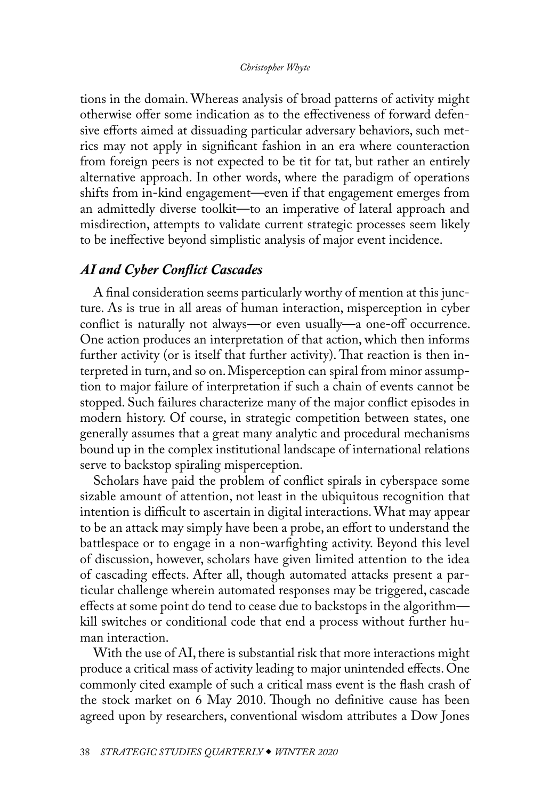tions in the domain. Whereas analysis of broad patterns of activity might otherwise offer some indication as to the effectiveness of forward defensive efforts aimed at dissuading particular adversary behaviors, such metrics may not apply in significant fashion in an era where counteraction from foreign peers is not expected to be tit for tat, but rather an entirely alternative approach. In other words, where the paradigm of operations shifts from in-kind engagement—even if that engagement emerges from an admittedly diverse toolkit—to an imperative of lateral approach and misdirection, attempts to validate current strategic processes seem likely to be ineffective beyond simplistic analysis of major event incidence.

## *AI and Cyber Conflict Cascades*

A final consideration seems particularly worthy of mention at this juncture. As is true in all areas of human interaction, misperception in cyber conflict is naturally not always—or even usually—a one-off occurrence. One action produces an interpretation of that action, which then informs further activity (or is itself that further activity). That reaction is then interpreted in turn, and so on. Misperception can spiral from minor assumption to major failure of interpretation if such a chain of events cannot be stopped. Such failures characterize many of the major conflict episodes in modern history. Of course, in strategic competition between states, one generally assumes that a great many analytic and procedural mechanisms bound up in the complex institutional landscape of international relations serve to backstop spiraling misperception.

Scholars have paid the problem of conflict spirals in cyberspace some sizable amount of attention, not least in the ubiquitous recognition that intention is difficult to ascertain in digital interactions. What may appear to be an attack may simply have been a probe, an effort to understand the battlespace or to engage in a non-warfighting activity. Beyond this level of discussion, however, scholars have given limited attention to the idea of cascading effects. After all, though automated attacks present a particular challenge wherein automated responses may be triggered, cascade effects at some point do tend to cease due to backstops in the algorithm kill switches or conditional code that end a process without further human interaction.

With the use of AI, there is substantial risk that more interactions might produce a critical mass of activity leading to major unintended effects. One commonly cited example of such a critical mass event is the flash crash of the stock market on 6 May 2010. Though no definitive cause has been agreed upon by researchers, conventional wisdom attributes a Dow Jones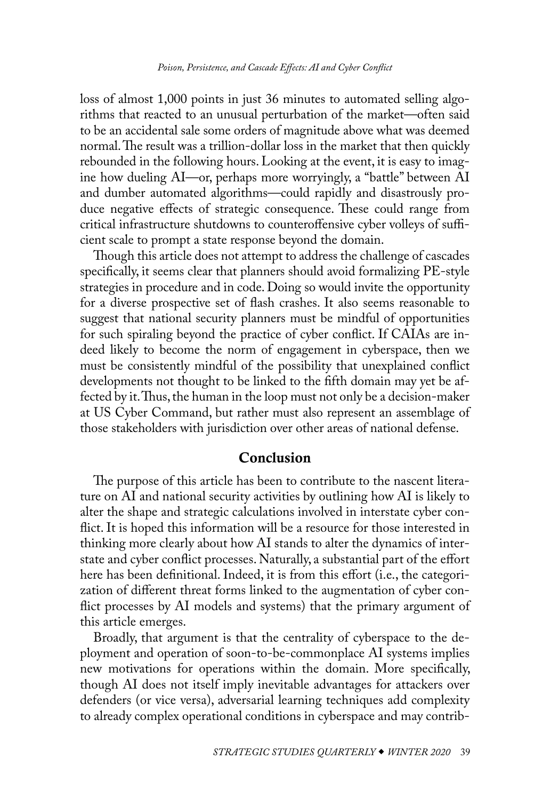loss of almost 1,000 points in just 36 minutes to automated selling algorithms that reacted to an unusual perturbation of the market—often said to be an accidental sale some orders of magnitude above what was deemed normal. The result was a trillion-dollar loss in the market that then quickly rebounded in the following hours. Looking at the event, it is easy to imagine how dueling AI—or, perhaps more worryingly, a "battle" between AI and dumber automated algorithms—could rapidly and disastrously produce negative effects of strategic consequence. These could range from critical infrastructure shutdowns to counteroffensive cyber volleys of sufficient scale to prompt a state response beyond the domain.

Though this article does not attempt to address the challenge of cascades specifically, it seems clear that planners should avoid formalizing PE-style strategies in procedure and in code. Doing so would invite the opportunity for a diverse prospective set of flash crashes. It also seems reasonable to suggest that national security planners must be mindful of opportunities for such spiraling beyond the practice of cyber conflict. If CAIAs are indeed likely to become the norm of engagement in cyberspace, then we must be consistently mindful of the possibility that unexplained conflict developments not thought to be linked to the fifth domain may yet be affected by it. Thus, the human in the loop must not only be a decision-maker at US Cyber Command, but rather must also represent an assemblage of those stakeholders with jurisdiction over other areas of national defense.

## Conclusion

The purpose of this article has been to contribute to the nascent literature on AI and national security activities by outlining how AI is likely to alter the shape and strategic calculations involved in interstate cyber conflict. It is hoped this information will be a resource for those interested in thinking more clearly about how AI stands to alter the dynamics of interstate and cyber conflict processes. Naturally, a substantial part of the effort here has been definitional. Indeed, it is from this effort (i.e., the categorization of different threat forms linked to the augmentation of cyber conflict processes by AI models and systems) that the primary argument of this article emerges.

Broadly, that argument is that the centrality of cyberspace to the deployment and operation of soon-to-be-commonplace AI systems implies new motivations for operations within the domain. More specifically, though AI does not itself imply inevitable advantages for attackers over defenders (or vice versa), adversarial learning techniques add complexity to already complex operational conditions in cyberspace and may contrib-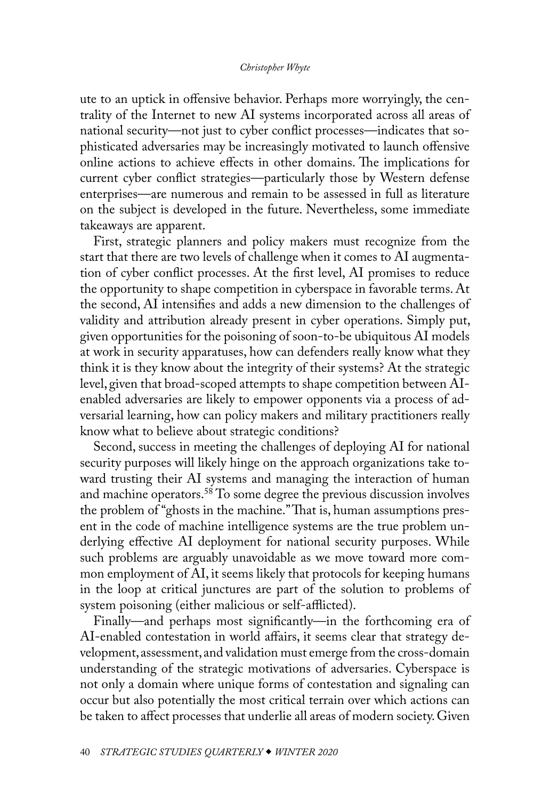<span id="page-22-0"></span>ute to an uptick in offensive behavior. Perhaps more worryingly, the centrality of the Internet to new AI systems incorporated across all areas of national security—not just to cyber conflict processes—indicates that sophisticated adversaries may be increasingly motivated to launch offensive online actions to achieve effects in other domains. The implications for current cyber conflict strategies—particularly those by Western defense enterprises—are numerous and remain to be assessed in full as literature on the subject is developed in the future. Nevertheless, some immediate takeaways are apparent.

First, strategic planners and policy makers must recognize from the start that there are two levels of challenge when it comes to AI augmentation of cyber conflict processes. At the first level, AI promises to reduce the opportunity to shape competition in cyberspace in favorable terms. At the second, AI intensifies and adds a new dimension to the challenges of validity and attribution already present in cyber operations. Simply put, given opportunities for the poisoning of soon-to-be ubiquitous AI models at work in security apparatuses, how can defenders really know what they think it is they know about the integrity of their systems? At the strategic level, given that broad-scoped attempts to shape competition between AIenabled adversaries are likely to empower opponents via a process of adversarial learning, how can policy makers and military practitioners really know what to believe about strategic conditions?

Second, success in meeting the challenges of deploying AI for national security purposes will likely hinge on the approach organizations take toward trusting their AI systems and managing the interaction of human and machine operators.[58](#page-28-0) To some degree the previous discussion involves the problem of "ghosts in the machine." That is, human assumptions present in the code of machine intelligence systems are the true problem underlying effective AI deployment for national security purposes. While such problems are arguably unavoidable as we move toward more common employment of AI, it seems likely that protocols for keeping humans in the loop at critical junctures are part of the solution to problems of system poisoning (either malicious or self-afflicted).

Finally—and perhaps most significantly—in the forthcoming era of AI-enabled contestation in world affairs, it seems clear that strategy development, assessment, and validation must emerge from the cross-domain understanding of the strategic motivations of adversaries. Cyberspace is not only a domain where unique forms of contestation and signaling can occur but also potentially the most critical terrain over which actions can be taken to affect processes that underlie all areas of modern society. Given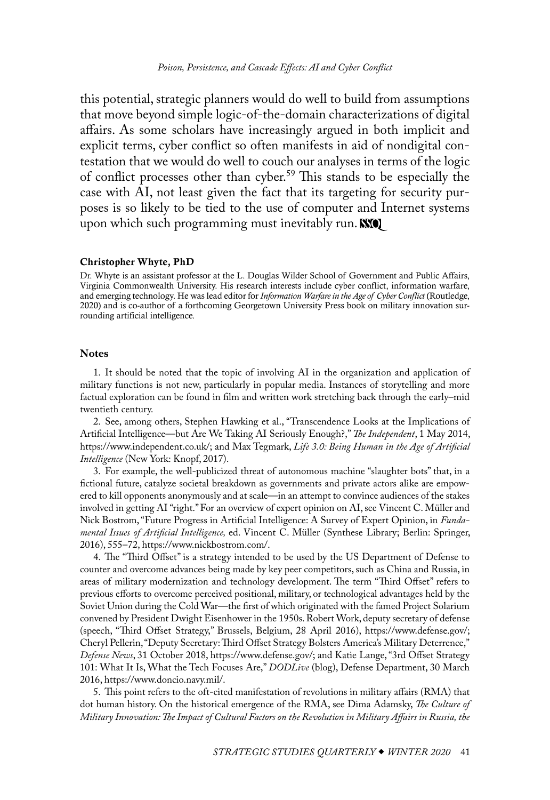<span id="page-23-1"></span>this potential, strategic planners would do well to build from assumptions that move beyond simple logic-of-the-domain characterizations of digital affairs. As some scholars have increasingly argued in both implicit and explicit terms, cyber conflict so often manifests in aid of nondigital contestation that we would do well to couch our analyses in terms of the logic of conflict processes other than cyber.[59](#page-28-0) This stands to be especially the case with AI, not least given the fact that its targeting for security purposes is so likely to be tied to the use of computer and Internet systems upon which such programming must inevitably run.

#### <span id="page-23-0"></span>[Christopher Whyte, PhD](#page-0-0)

Dr. Whyte is an assistant professor at the L. Douglas Wilder School of Government and Public Affairs, Virginia Commonwealth University. His research interests include cyber conflict, information warfare, and emerging technology. He was lead editor for *Information Warfare in the Age of Cyber Conflict* (Routledge, 2020) and is co-author of a forthcoming Georgetown University Press book on military innovation surrounding artificial intelligence.

## **Notes**

[1](#page-0-1). It should be noted that the topic of involving AI in the organization and application of military functions is not new, particularly in popular media. Instances of storytelling and more factual exploration can be found in film and written work stretching back through the early–mid twentieth century.

[2](#page-1-0). See, among others, Stephen Hawking et al., "Transcendence Looks at the Implications of Artificial Intelligence—but Are We Taking AI Seriously Enough?," *The Independent*, 1 May 2014, [https://www.independent.co.uk/;](https://www.independent.co.uk/news/science/stephen-hawking-transcendence-looks-at-the-implications-of-artificial-intelligence-but-are-we-taking-9313474.html) and Max Tegmark, *Life 3.0: Being Human in the Age of Artificial Intelligence* (New York: Knopf, 2017).

[3](#page-1-0). For example, the well-publicized threat of autonomous machine "slaughter bots" that, in a fictional future, catalyze societal breakdown as governments and private actors alike are empowered to kill opponents anonymously and at scale—in an attempt to convince audiences of the stakes involved in getting AI "right." For an overview of expert opinion on AI, see Vincent C. Müller and Nick Bostrom, "Future Progress in Artificial Intelligence: A Survey of Expert Opinion, in *Fundamental Issues of Artificial Intelligence,* ed. Vincent C. Müller (Synthese Library; Berlin: Springer, 2016), 555–72, [https://www.nickbostrom.com/](https://www.nickbostrom.com/papers/survey.pdf).

[4](#page-1-0). The "Third Offset" is a strategy intended to be used by the US Department of Defense to counter and overcome advances being made by key peer competitors, such as China and Russia, in areas of military modernization and technology development. The term "Third Offset" refers to previous efforts to overcome perceived positional, military, or technological advantages held by the Soviet Union during the Cold War—the first of which originated with the famed Project Solarium convened by President Dwight Eisenhower in the 1950s. Robert Work, deputy secretary of defense (speech, "Third Offset Strategy," Brussels, Belgium, 28 April 2016), [https://www.defense.gov/;](https://www.defense.gov/News/Speeches/Speech-View/Article/753482/remarks-by-d%20eputy-secretary-work-on-third-offset-strategy/) Cheryl Pellerin, "Deputy Secretary: Third Offset Strategy Bolsters America's Military Deterrence," *Defense News*, 31 October 2018, [https://www.defense.gov/;](https://www.defense.gov/News/Article/Article/991434/deputy-secretary-third-offset-strategy-bolsters-americas-military-deterrence/) and Katie Lange, "3rd Offset Strategy 101: What It Is, What the Tech Focuses Are," *DODLive* (blog), Defense Department, 30 March 2016, [https://www.doncio.navy.mil/.](https://www.doncio.navy.mil/chips/ArticleDetails.aspx?ID=7673)

[5](#page-1-0). This point refers to the oft-cited manifestation of revolutions in military affairs (RMA) that dot human history. On the historical emergence of the RMA, see Dima Adamsky, *The Culture of Military Innovation: The Impact of Cultural Factors on the Revolution in Military Affairs in Russia, the*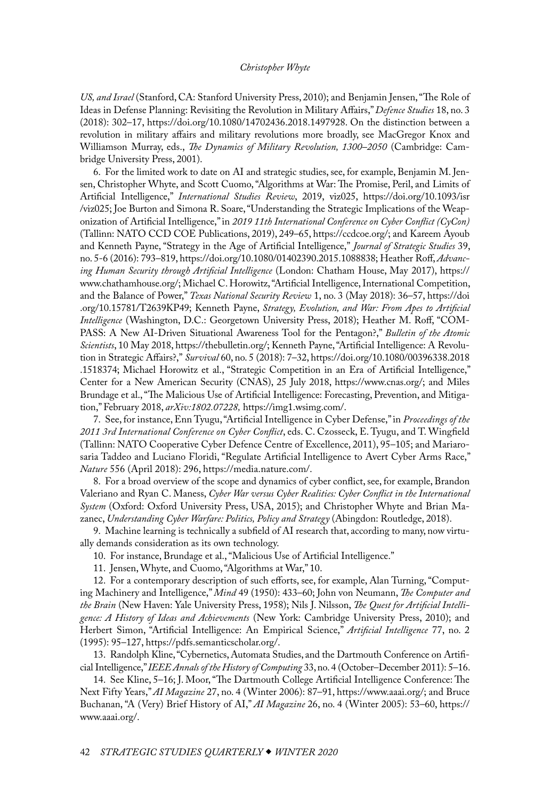<span id="page-24-0"></span>*US, and Israel* (Stanford, CA: Stanford University Press, 2010); and Benjamin Jensen, "The Role of Ideas in Defense Planning: Revisiting the Revolution in Military Affairs," *Defence Studies* 18, no. 3 (2018): 302–17, [https://doi.org/10.1080/14702436.2018.1497928.](https://doi.org/10.1080/14702436.2018.1497928) On the distinction between a revolution in military affairs and military revolutions more broadly, see MacGregor Knox and Williamson Murray, eds., *The Dynamics of Military Revolution, 1300–2050* (Cambridge: Cambridge University Press, 2001).

[6](#page-1-0). For the limited work to date on AI and strategic studies, see, for example, Benjamin M. Jensen, Christopher Whyte, and Scott Cuomo, "Algorithms at War: The Promise, Peril, and Limits of Artificial Intelligence," *International Studies Review*, 2019, viz025, [https://doi.org/10.1093/isr](https://doi.org/10.1093/isr/viz025) [/viz025;](https://doi.org/10.1093/isr/viz025) Joe Burton and Simona R. Soare, "Understanding the Strategic Implications of the Weaponization of Artificial Intelligence," in *2019 11th International Conference on Cyber Conflict (CyCon)* (Tallinn: NATO CCD COE Publications, 2019), 249–65, [https://ccdcoe.org/](https://ccdcoe.org/uploads/2019/06/CyCon_2019_BOOK.pdf); and Kareem Ayoub and Kenneth Payne, "Strategy in the Age of Artificial Intelligence," *Journal of Strategic Studies* 39, no. 5-6 (2016): 793–819,<https://doi.org/10.1080/01402390.2015.1088838>; Heather Roff, *Advancing Human Security through Artificial Intelligence* (London: Chatham House, May 2017), [https://](https://www.chathamhouse.org/sites/default/files/publications/research/2017-05-11-ai-human-security-roff.pdf) [www.chathamhouse.org/;](https://www.chathamhouse.org/sites/default/files/publications/research/2017-05-11-ai-human-security-roff.pdf) Michael C. Horowitz, "Artificial Intelligence, International Competition, and the Balance of Power," *Texas National Security Review* 1, no. 3 (May 2018): 36–57, [https://doi](https://doi.org/10.15781/T2639KP49) [.org/10.15781/T2639KP49](https://doi.org/10.15781/T2639KP49); Kenneth Payne, *Strategy, Evolution, and War: From Apes to Artificial Intelligence* (Washington, D.C.: Georgetown University Press, 2018); Heather M. Roff, "COM-PASS: A New AI-Driven Situational Awareness Tool for the Pentagon?," *Bulletin of the Atomic Scientists*, 10 May 2018, [https://thebulletin.org/;](https://thebulletin.org/2018/05/compass-a-new-ai-driven-situational-awareness-tool-for-the-pentagon/) Kenneth Payne, "Artificial Intelligence: A Revolution in Strategic Affairs?," *Survival* 60, no. 5 (2018): 7–32, [https://doi.org/10.1080/00396338.2018](https://doi.org/10.1080/00396338.2018.1518374) [.1518374](https://doi.org/10.1080/00396338.2018.1518374); Michael Horowitz et al., "Strategic Competition in an Era of Artificial Intelligence," Center for a New American Security (CNAS), 25 July 2018, [https://www.cnas.org/;](https://www.cnas.org/publications/reports/strategic-competition-in-an-era-of-artificial-intelligence) and Miles Brundage et al., "The Malicious Use of Artificial Intelligence: Forecasting, Prevention, and Mitigation," February 2018, *arXiv:1802.07228,* [https://img1.wsimg.com/.](https://img1.wsimg.com/blobby/go/3d82daa4-97fe-4096-9c6b-376b92c619de/downloads/MaliciousUseofAI.pdf?ver=1553030594217)

[7](#page-1-0). See, for instance, Enn Tyugu, "Artificial Intelligence in Cyber Defense," in *Proceedings of the 2011 3rd International Conference on Cyber Conflict*, eds. C. Czosseck, E. Tyugu, and T. Wingfield (Tallinn: NATO Cooperative Cyber Defence Centre of Excellence, 2011), 95–105; and Mariarosaria Taddeo and Luciano Floridi, "Regulate Artificial Intelligence to Avert Cyber Arms Race," *Nature* 556 (April 2018): 296, [https://media.nature.com/.](https://media.nature.com/original/magazine-assets/d41586-018-04602-6/d41586-018-04602-6.pdf)

[8](#page-1-0). For a broad overview of the scope and dynamics of cyber conflict, see, for example, Brandon Valeriano and Ryan C. Maness, *Cyber War versus Cyber Realities: Cyber Conflict in the International System* (Oxford: Oxford University Press, USA, 2015); and Christopher Whyte and Brian Mazanec, *Understanding Cyber Warfare: Politics, Policy and Strategy* (Abingdon: Routledge, 2018).

[9](#page-2-0). Machine learning is technically a subfield of AI research that, according to many, now virtually demands consideration as its own technology.

[10](#page-2-0). For instance, Brundage et al., "Malicious Use of Artificial Intelligence."

[11](#page-3-0). Jensen, Whyte, and Cuomo, "Algorithms at War," 10.

[12](#page-3-0). For a contemporary description of such efforts, see, for example, Alan Turning, "Computing Machinery and Intelligence," *Mind* 49 (1950): 433–60; John von Neumann, *The Computer and the Brain* (New Haven: Yale University Press, 1958); Nils J. Nilsson, *The Quest for Artificial Intelligence: A History of Ideas and Achievements* (New York: Cambridge University Press, 2010); and Herbert Simon, "Artificial Intelligence: An Empirical Science," *Artificial Intelligence* 77, no. 2 (1995): 95–127, [https://pdfs.semanticscholar.org/](https://pdfs.semanticscholar.org/d243/9c5b7f3e32e3ecadb23abb6afab4cafe0509.pdf).

[13](#page-3-0). Randolph Kline, "Cybernetics, Automata Studies, and the Dartmouth Conference on Artificial Intelligence," *IEEE Annals of the History of Computing* 33, no. 4 (October–December 2011): 5–16.

[14](#page-3-0). See Kline, 5–16; J. Moor, ''The Dartmouth College Artificial Intelligence Conference: The Next Fifty Years,'' *AI Magazine* 27, no. 4 (Winter 2006): 87–91, [https://www.aaai.org/;](https://www.aaai.org/ojs/index.php/aimagazine/issue/view/165) and Bruce Buchanan, "A (Very) Brief History of AI," *AI Magazine* 26, no. 4 (Winter 2005): 53–60, [https://](https://www.aaai.org/ojs/index.php/aimagazine/issue/view/161) [www.aaai.org/](https://www.aaai.org/ojs/index.php/aimagazine/issue/view/161).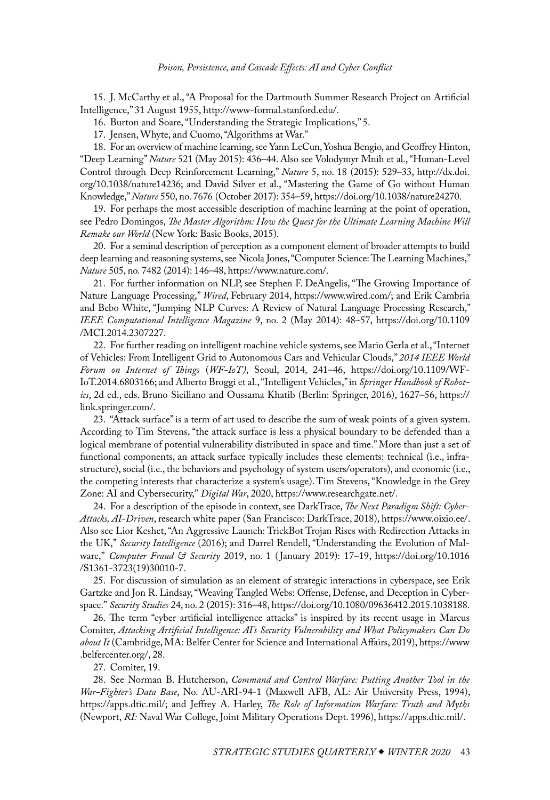<span id="page-25-0"></span>[15](#page-4-0). J. McCarthy et al., "A Proposal for the Dartmouth Summer Research Project on Artificial Intelligence," 31 August 1955, [http://www-formal.stanford.edu/](http://www-formal.stanford.edu/jmc/history/dartmouth/dartmouth.html).

[16](#page-4-0). Burton and Soare, "Understanding the Strategic Implications," 5.

[17](#page-4-0). Jensen, Whyte, and Cuomo, "Algorithms at War."

[18](#page-4-0). For an overview of machine learning, see Yann LeCun, Yoshua Bengio, and Geoffrey Hinton, "Deep Learning" *Nature* 521 (May 2015): 436–44. Also see Volodymyr Mnih et al., "Human-Level Control through Deep Reinforcement Learning," *Nature* 5, no. 18 (2015): 529–33, [http://dx.doi.](http://dx.doi.org/10.1038/nature14236) [org/10.1038/nature14236;](http://dx.doi.org/10.1038/nature14236) and David Silver et al., "Mastering the Game of Go without Human Knowledge," *Nature* 550, no. 7676 (October 2017): 354–59, [https://doi.org/10.1038/nature24270.](https://doi.org/10.1038/nature24270)

[19](#page-4-0). For perhaps the most accessible description of machine learning at the point of operation, see Pedro Domingos, *The Master Algorithm: How the Quest for the Ultimate Learning Machine Will Remake our World* (New York: Basic Books, 2015).

[20](#page-5-0). For a seminal description of perception as a component element of broader attempts to build deep learning and reasoning systems, see Nicola Jones, "Computer Science: The Learning Machines," *Nature* 505, no. 7482 (2014): 146–48, [https://www.nature.com/.](https://www.nature.com/news/computer-science-the-learning-machines-1.14481)

[21](#page-5-0). For further information on NLP, see Stephen F. DeAngelis, "The Growing Importance of Nature Language Processing," *Wired*, February 2014, [https://www.wired.com/](https://www.wired.com/insights/2014/02/growing-importance-natural-language-processing/); and Erik Cambria and Bebo White, "Jumping NLP Curves: A Review of Natural Language Processing Research," *IEEE Computational Intelligence Magazine* 9, no. 2 (May 2014): 48–57, [https://doi.org/10.1109](https://doi.org/10.1109/MCI.2014.2307227) [/MCI.2014.2307227](https://doi.org/10.1109/MCI.2014.2307227).

[22](#page-5-0). For further reading on intelligent machine vehicle systems, see Mario Gerla et al., "Internet of Vehicles: From Intelligent Grid to Autonomous Cars and Vehicular Clouds," *2014 IEEE World Forum on Internet of Things* (*WF-IoT)*, Seoul, 2014, 241–46, [https://doi.org/10.1109/WF-](https://doi.org/10.1109/WF-IoT.2014.6803166)[IoT.2014.6803166](https://doi.org/10.1109/WF-IoT.2014.6803166); and Alberto Broggi et al., "Intelligent Vehicles," in *Springer Handbook of Robotics*, 2d ed., eds. Bruno Siciliano and Oussama Khatib (Berlin: Springer, 2016), 1627–56, [https://](https://link.springer.com/content/pdf/bfm%3A978-3-319-32552-1%2F1.pdf) [link.springer.com/.](https://link.springer.com/content/pdf/bfm%3A978-3-319-32552-1%2F1.pdf)

[23](#page-6-0). "Attack surface" is a term of art used to describe the sum of weak points of a given system. According to Tim Stevens, "the attack surface is less a physical boundary to be defended than a logical membrane of potential vulnerability distributed in space and time." More than just a set of functional components, an attack surface typically includes these elements: technical (i.e., infrastructure), social (i.e., the behaviors and psychology of system users/operators), and economic (i.e., the competing interests that characterize a system's usage). Tim Stevens, "Knowledge in the Grey Zone: AI and Cybersecurity," *Digital War*, 2020, [https://www.researchgate.net/](https://www.researchgate.net/publication/340312596_Knowledge_in_the_grey_zone_AI_and_cybersecurity).

[24](#page-6-0). For a description of the episode in context, see DarkTrace, *The Next Paradigm Shift: Cyber-Attacks, AI-Driven*, research white paper (San Francisco: DarkTrace, 2018), [https://www.oixio.ee/](https://www.oixio.ee/sites/default/files/the_next_paradigm_shift_-_ai_driven_cyber_attacks.pdf). Also see Lior Keshet, "An Aggressive Launch: TrickBot Trojan Rises with Redirection Attacks in the UK," *Security Intelligence* (2016); and Darrel Rendell, "Understanding the Evolution of Malware," *Computer Fraud & Security* 2019, no. 1 ( January 2019): 17–19, [https://doi.org/10.1016](https://doi.org/10.1016/S1361-3723(19)30010-7) [/S1361-3723\(19\)30010-7](https://doi.org/10.1016/S1361-3723(19)30010-7).

[25](#page-8-0). For discussion of simulation as an element of strategic interactions in cyberspace, see Erik Gartzke and Jon R. Lindsay, "Weaving Tangled Webs: Offense, Defense, and Deception in Cyberspace." *Security Studies* 24, no. 2 (2015): 316–48, [https://doi.org/10.1080/09636412.2015.1038188.](https://doi.org/10.1080/09636412.2015.1038188)

[26](#page-8-0). The term "cyber artificial intelligence attacks" is inspired by its recent usage in Marcus Comiter, *Attacking Artificial Intelligence: AI's Security Vulnerability and What Policymakers Can Do about It* (Cambridge, MA: Belfer Center for Science and International Affairs, 2019), [https://www](https://www.belfercenter.org/publication/AttackingAI) [.belfercenter.org/,](https://www.belfercenter.org/publication/AttackingAI) 28.

[27](#page-8-0). Comiter, 19.

[28](#page-9-0). See Norman B. Hutcherson, *Command and Control Warfare: Putting Another Tool in the War-Fighter's Data Base*, No. AU-ARI-94-1 (Maxwell AFB, AL: Air University Press, 1994), [https://apps.dtic.mil/;](https://apps.dtic.mil/dtic/tr/fulltext/u2/a286005.pdf) and Jeffrey A. Harley, *The Role of Information Warfare: Truth and Myths*  (Newport, *RI:* Naval War College, Joint Military Operations Dept. 1996), [https://apps.dtic.mil/](https://apps.dtic.mil/sti/pdfs/ADA307348.pdf).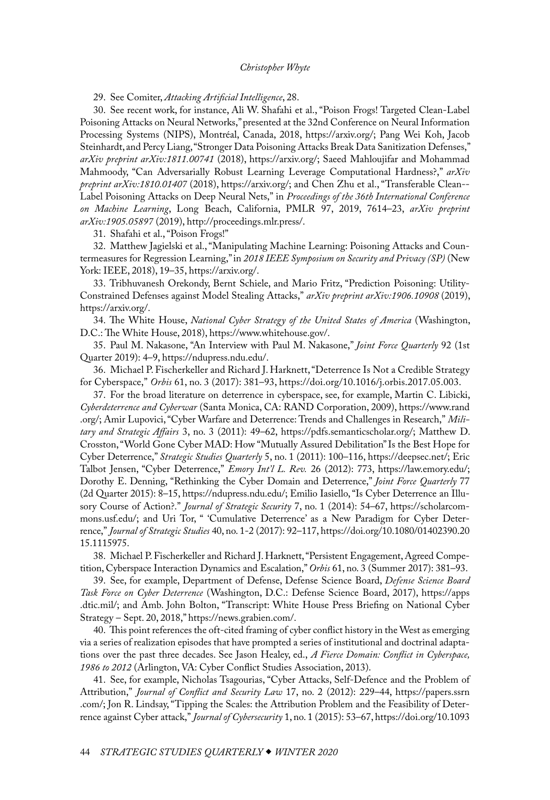<span id="page-26-0"></span>[29](#page-9-0). See Comiter, *Attacking Artificial Intelligence*, 28.

[30](#page-10-0). See recent work, for instance, Ali W. Shafahi et al., "Poison Frogs! Targeted Clean-Label Poisoning Attacks on Neural Networks," presented at the 32nd Conference on Neural Information Processing Systems (NIPS), Montréal, Canada, 2018, [https://arxiv.org/](https://arxiv.org/pdf/1804.00792.pdf); Pang Wei Koh, Jacob Steinhardt, and Percy Liang, "Stronger Data Poisoning Attacks Break Data Sanitization Defenses," *arXiv preprint arXiv:1811.00741* (2018), [https://arxiv.org/;](https://arxiv.org/pdf/1811.00741.pdf) Saeed Mahloujifar and Mohammad Mahmoody, "Can Adversarially Robust Learning Leverage Computational Hardness?," *arXiv preprint arXiv:1810.01407* (2018), [https://arxiv.org/](https://arxiv.org/pdf/1810.01407.pdf); and Chen Zhu et al., "Transferable Clean- - Label Poisoning Attacks on Deep Neural Nets," in *Proceedings of the 36th International Conference on Machine Learning*, Long Beach, California, PMLR 97, 2019, 7614–23, *arXiv preprint arXiv:1905.05897* (2019), [http://proceedings.mlr.press/.](http://proceedings.mlr.press/v97/zhu19a/zhu19a.pdf)

[31](#page-10-0). Shafahi et al., "Poison Frogs!"

[32](#page-10-0). Matthew Jagielski et al., "Manipulating Machine Learning: Poisoning Attacks and Countermeasures for Regression Learning," in *2018 IEEE Symposium on Security and Privacy (SP)* (New York: IEEE, 2018), 19–35, [https://arxiv.org/](https://arxiv.org/pdf/1804.00308.pdf).

[33](#page-10-0). Tribhuvanesh Orekondy, Bernt Schiele, and Mario Fritz, "Prediction Poisoning: Utility-Constrained Defenses against Model Stealing Attacks," *arXiv preprint arXiv:1906.10908* (2019), [https://arxiv.org/](https://arxiv.org/pdf/1906.10908.pdf).

[34](#page-12-0). The White House, *National Cyber Strategy of the United States of America* (Washington, D.C.: The White House, 2018), [https://www.whitehouse.gov/.](https://www.whitehouse.gov/wp-content/uploads/2018/09/National-Cyber-Strategy.pdf)

[35](#page-12-0). Paul M. Nakasone, "An Interview with Paul M. Nakasone," *Joint Force Quarterly* 92 (1st Quarter 2019): 4–9, [https://ndupress.ndu.edu/.](https://ndupress.ndu.edu/Portals/68/Documents/jfq/jfq-92/jfq-92.pdf)

[36](#page-12-0). Michael P. Fischerkeller and Richard J. Harknett, "Deterrence Is Not a Credible Strategy for Cyberspace," *Orbis* 61, no. 3 (2017): 381–93,<https://doi.org/10.1016/j.orbis.2017.05.003>.

[37](#page-12-0). For the broad literature on deterrence in cyberspace, see, for example, Martin C. Libicki, *Cyberdeterrence and Cyberwar* (Santa Monica, CA: RAND Corporation, 2009), [https://www.rand](https://www.rand.org/content/dam/rand/pubs/monographs/2009/RAND_MG877.pdf) [.org/](https://www.rand.org/content/dam/rand/pubs/monographs/2009/RAND_MG877.pdf); Amir Lupovici, "Cyber Warfare and Deterrence: Trends and Challenges in Research," *Military and Strategic Affairs* 3, no. 3 (2011): 49–62, [https://pdfs.semanticscholar.org/;](https://pdfs.semanticscholar.org/d968/70385e8aa088e008b89eb46348bac5cdab43.pdf) Matthew D. Crosston, "World Gone Cyber MAD: How "Mutually Assured Debilitation" Is the Best Hope for Cyber Deterrence," *Strategic Studies Quarterly* 5, no. 1 (2011): 100–116, [https://deepsec.net/](https://deepsec.net/docs/t/World%20Gone%20Cyber%20MAD.pdf); Eric Talbot Jensen, "Cyber Deterrence," *Emory Int'l L. Rev.* 26 (2012): 773, [https://law.emory.edu/;](https://law.emory.edu/eilr/_documents/volumes/26/2/symposium/jensen.pdf) Dorothy E. Denning, "Rethinking the Cyber Domain and Deterrence," *Joint Force Quarterly* 77 (2d Quarter 2015): 8–15, [https://ndupress.ndu.edu/;](https://ndupress.ndu.edu/Portals/68/Documents/jfq/jfq-77/jfq-77_8-15_Denning.pdf) Emilio Iasiello, "Is Cyber Deterrence an Illusory Course of Action?." *Journal of Strategic Security* 7, no. 1 (2014): 54–67, [https://scholarcom](https://scholarcommons.usf.edu/cgi/viewcontent.cgi?referer=https://www.google.com/&httpsredir=1&article=1337&context=jss)[mons.usf.edu/;](https://scholarcommons.usf.edu/cgi/viewcontent.cgi?referer=https://www.google.com/&httpsredir=1&article=1337&context=jss) and Uri Tor, " 'Cumulative Deterrence' as a New Paradigm for Cyber Deterrence," *Journal of Strategic Studies* 40, no. 1-2 (2017): 92–117, [https://doi.org/10.1080/01402390.20](https://doi.org/10.1080/01402390.2015.1115975) [15.1115975](https://doi.org/10.1080/01402390.2015.1115975).

[38](#page-12-0). Michael P. Fischerkeller and Richard J. Harknett, "Persistent Engagement, Agreed Competition, Cyberspace Interaction Dynamics and Escalation," *Orbis* 61, no. 3 (Summer 2017): 381–93.

[39](#page-13-0). See, for example, Department of Defense, Defense Science Board, *Defense Science Board Task Force on Cyber Deterrence* (Washington, D.C.: Defense Science Board, 2017), [https://apps](https://apps.dtic.mil/dtic/tr/fulltext/u2/1028516.pdf) [.dtic.mil/](https://apps.dtic.mil/dtic/tr/fulltext/u2/1028516.pdf); and Amb. John Bolton, "Transcript: White House Press Briefing on National Cyber Strategy – Sept. 20, 2018," [https://news.grabien.com/.](https://news.grabien.com/making-transcript-white-house-press-briefing-national-cyber-strateg)

[40](#page-13-0). This point references the oft-cited framing of cyber conflict history in the West as emerging via a series of realization episodes that have prompted a series of institutional and doctrinal adaptations over the past three decades. See Jason Healey, ed., *A Fierce Domain: Conflict in Cyberspace, 1986 to 2012* (Arlington, VA: Cyber Conflict Studies Association, 2013).

[41](#page-13-0). See, for example, Nicholas Tsagourias, "Cyber Attacks, Self-Defence and the Problem of Attribution," *Journal of Conflict and Security Law* 17, no. 2 (2012): 229–44, [https://papers.ssrn](https://papers.ssrn.com/sol3/papers.cfm?abstract_id=2538271) [.com/;](https://papers.ssrn.com/sol3/papers.cfm?abstract_id=2538271) Jon R. Lindsay, "Tipping the Scales: the Attribution Problem and the Feasibility of Deterrence against Cyber attack," *Journal of Cybersecurity* 1, no. 1 (2015): 53–67, [https://doi.org/10.1093](https://doi.org/10.1093/cybsec/tyv003)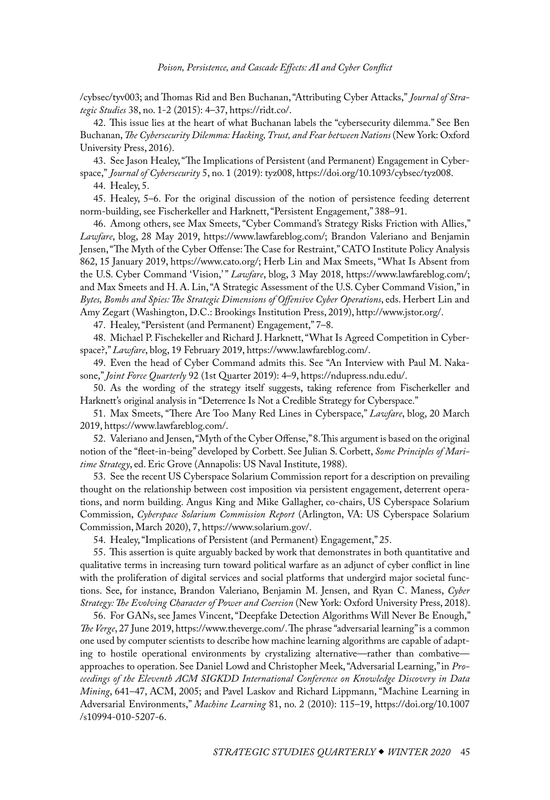<span id="page-27-0"></span>[/cybsec/tyv003;](https://doi.org/10.1093/cybsec/tyv003) and Thomas Rid and Ben Buchanan, "Attributing Cyber Attacks," *Journal of Strategic Studies* 38, no. 1-2 (2015): 4–37, [https://ridt.co/.](https://ridt.co/d/rid-buchanan-attributing-cyber-attacks.pdf)

[42](#page-14-0). This issue lies at the heart of what Buchanan labels the "cybersecurity dilemma." See Ben Buchanan, *The Cybersecurity Dilemma: Hacking, Trust, and Fear between Nations* (New York: Oxford University Press, 2016).

[43](#page-14-0). See Jason Healey, "The Implications of Persistent (and Permanent) Engagement in Cyberspace," *Journal of Cybersecurity* 5, no. 1 (2019): tyz008,<https://doi.org/10.1093/cybsec/tyz008>.

[44](#page-14-0). Healey, 5.

[45](#page-14-0). Healey, 5–6. For the original discussion of the notion of persistence feeding deterrent norm-building, see Fischerkeller and Harknett, "Persistent Engagement," 388–91.

[46](#page-14-0). Among others, see Max Smeets, "Cyber Command's Strategy Risks Friction with Allies," *Lawfare*, blog, 28 May 2019, [https://www.lawfareblog.com/;](https://www.lawfareblog.com/cyber-commands-strategy-risks-friction-allies) Brandon Valeriano and Benjamin Jensen, "The Myth of the Cyber Offense: The Case for Restraint," CATO Institute Policy Analysis 862, 15 January 2019, [https://www.cato.org/;](https://www.cato.org/publications/policy-analysis/myth-cyber-offense-case-restraint) Herb Lin and Max Smeets, "What Is Absent from the U.S. Cyber Command 'Vision,' " *Lawfare*, blog, 3 May 2018, [https://www.lawfareblog.com/;](https://www.lawfareblog.com/what-absent-us-cyber-command-vision) and Max Smeets and H. A. Lin, "A Strategic Assessment of the U.S. Cyber Command Vision," in *Bytes, Bombs and Spies: The Strategic Dimensions of Offensive Cyber Operations*, eds. Herbert Lin and Amy Zegart (Washington, D.C.: Brookings Institution Press, 2019), [http://www.jstor.org/](http://www.jstor.org/stable/10.7864/j.ctv75d8hb.8).

[47](#page-14-0). Healey, "Persistent (and Permanent) Engagement," 7–8.

[48](#page-14-0). Michael P. Fischekeller and Richard J. Harknett, "What Is Agreed Competition in Cyberspace?," *Lawfare*, blog, 19 February 2019, [https://www.lawfareblog.com/.](https://www.lawfareblog.com/what-agreed-competition-cyberspace)

[49](#page-14-0). Even the head of Cyber Command admits this. See "An Interview with Paul M. Nakasone," *Joint Force Quarterly* 92 (1st Quarter 2019): 4–9, [https://ndupress.ndu.edu/.](https://ndupress.ndu.edu/Portals/68/Documents/jfq/jfq-92/jfq-92.pdf)

[50](#page-14-0). As the wording of the strategy itself suggests, taking reference from Fischerkeller and Harknett's original analysis in "Deterrence Is Not a Credible Strategy for Cyberspace."

[51](#page-15-0). Max Smeets, "There Are Too Many Red Lines in Cyberspace," *Lawfare*, blog, 20 March 2019, [https://www.lawfareblog.com/](https://www.lawfareblog.com/there-are-too-many-red-lines-cyberspace).

[52](#page-15-0). Valeriano and Jensen, "Myth of the Cyber Offense," 8. This argument is based on the original notion of the "fleet-in-being" developed by Corbett. See Julian S. Corbett, *Some Principles of Maritime Strategy*, ed. Eric Grove (Annapolis: US Naval Institute, 1988).

[53](#page-16-0). See the recent US Cyberspace Solarium Commission report for a description on prevailing thought on the relationship between cost imposition via persistent engagement, deterrent operations, and norm building. Angus King and Mike Gallagher, co-chairs, US Cyberspace Solarium Commission, *Cyberspace Solarium Commission Report* (Arlington, VA: US Cyberspace Solarium Commission, March 2020), 7, <https://www.solarium.gov/>.

[54](#page-17-0). Healey, "Implications of Persistent (and Permanent) Engagement," 25.

[55](#page-19-0). This assertion is quite arguably backed by work that demonstrates in both quantitative and qualitative terms in increasing turn toward political warfare as an adjunct of cyber conflict in line with the proliferation of digital services and social platforms that undergird major societal functions. See, for instance, Brandon Valeriano, Benjamin M. Jensen, and Ryan C. Maness, *Cyber Strategy: The Evolving Character of Power and Coercion* (New York: Oxford University Press, 2018).

[56](#page-19-0). For GANs, see James Vincent, "Deepfake Detection Algorithms Will Never Be Enough," *The Verge*, 27 June 2019, [https://www.theverge.com/.](https://www.theverge.com/2019/6/27/18715235/deepfake-detection-ai-algorithms-accuracy-will-they-ever-work) The phrase "adversarial learning" is a common one used by computer scientists to describe how machine learning algorithms are capable of adapting to hostile operational environments by crystalizing alternative—rather than combative approaches to operation. See Daniel Lowd and Christopher Meek, "Adversarial Learning," in *Proceedings of the Eleventh ACM SIGKDD International Conference on Knowledge Discovery in Data Mining*, 641–47, ACM, 2005; and Pavel Laskov and Richard Lippmann, "Machine Learning in Adversarial Environments," *Machine Learning* 81, no. 2 (2010): 115–19, [https://doi.org/10.1007](https://doi.org/10.1007/s10994-010-5207-6) [/s10994-010-5207-6.](https://doi.org/10.1007/s10994-010-5207-6)